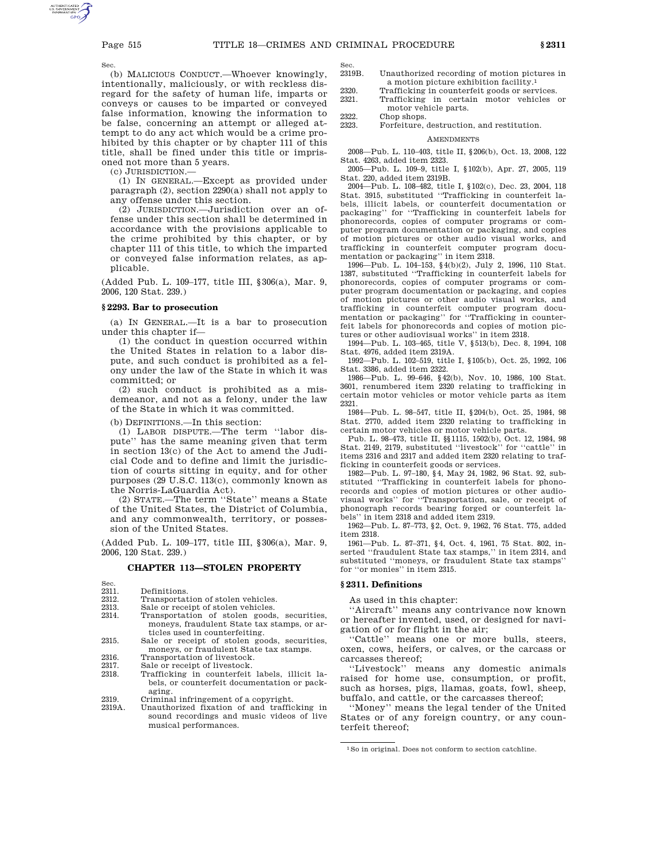Sec.

(b) MALICIOUS CONDUCT.—Whoever knowingly, intentionally, maliciously, or with reckless disregard for the safety of human life, imparts or conveys or causes to be imparted or conveyed false information, knowing the information to be false, concerning an attempt or alleged attempt to do any act which would be a crime prohibited by this chapter or by chapter 111 of this title, shall be fined under this title or imprisoned not more than 5 years.

(c) JURISDICTION.—

(1) IN GENERAL.—Except as provided under paragraph (2), section 2290(a) shall not apply to any offense under this section.

(2) JURISDICTION.—Jurisdiction over an offense under this section shall be determined in accordance with the provisions applicable to the crime prohibited by this chapter, or by chapter 111 of this title, to which the imparted or conveyed false information relates, as applicable.

(Added Pub. L. 109–177, title III, §306(a), Mar. 9, 2006, 120 Stat. 239.)

### **§ 2293. Bar to prosecution**

(a) IN GENERAL.—It is a bar to prosecution under this chapter if—

(1) the conduct in question occurred within the United States in relation to a labor dispute, and such conduct is prohibited as a felony under the law of the State in which it was committed; or

(2) such conduct is prohibited as a misdemeanor, and not as a felony, under the law of the State in which it was committed.

(b) DEFINITIONS.—In this section:

(1) LABOR DISPUTE.—The term ''labor dispute'' has the same meaning given that term in section 13(c) of the Act to amend the Judicial Code and to define and limit the jurisdiction of courts sitting in equity, and for other purposes (29 U.S.C. 113(c), commonly known as the Norris-LaGuardia Act).

(2) STATE.—The term ''State'' means a State of the United States, the District of Columbia, and any commonwealth, territory, or possession of the United States.

(Added Pub. L. 109–177, title III, §306(a), Mar. 9, 2006, 120 Stat. 239.)

# **CHAPTER 113—STOLEN PROPERTY**

Sec.<br>2311

- 2311. Definitions<br>2312. Transporta 2312. Transportation of stolen vehicles.<br>2313. Sale or receipt of stolen vehicles.
- 2313. Sale or receipt of stolen vehicles.<br>2314. Transportation of stolen goods
- Transportation of stolen goods, securities, moneys, fraudulent State tax stamps, or articles used in counterfeiting.
- 2315. Sale or receipt of stolen goods, securities, moneys, or fraudulent State tax stamps.
- 2316. Transportation of livestock.<br>2317 Sale or receipt of livestock.
- 2317. Sale or receipt of livestock.<br>2318. Trafficking in counterfeit
- Trafficking in counterfeit labels, illicit labels, or counterfeit documentation or packaging.
- 2319. Criminal infringement of a copyright.<br>2319A. Unauthorized fixation of and traffic Unauthorized fixation of and trafficking in sound recordings and music videos of live musical performances.
- 2319<sub>B</sub>. Unauthorized recording of motion pictures in a motion picture exhibition facility.1
- 2320. Trafficking in counterfeit goods or services.<br>2321 Trafficking in certain motor vehicles Trafficking in certain motor vehicles or
- motor vehicle parts.
- 2322. Chop shops.<br>2323. Forfeiture.

# Forfeiture, destruction, and restitution.

# **AMENDMENTS**

2008—Pub. L. 110–403, title II, §206(b), Oct. 13, 2008, 122 Stat. 4263, added item 2323.

2005—Pub. L. 109–9, title I, §102(b), Apr. 27, 2005, 119 Stat. 220, added item 2319B.

2004—Pub. L. 108–482, title I, §102(c), Dec. 23, 2004, 118 Stat. 3915, substituted ''Trafficking in counterfeit labels, illicit labels, or counterfeit documentation or packaging'' for ''Trafficking in counterfeit labels for phonorecords, copies of computer programs or computer program documentation or packaging, and copies of motion pictures or other audio visual works, and trafficking in counterfeit computer program docu-

mentation or packaging'' in item 2318. 1996—Pub. L. 104–153, §4(b)(2), July 2, 1996, 110 Stat. 1387, substituted ''Trafficking in counterfeit labels for phonorecords, copies of computer programs or computer program documentation or packaging, and copies of motion pictures or other audio visual works, and trafficking in counterfeit computer program documentation or packaging" for "Trafficking in counterfeit labels for phonorecords and copies of motion pictures or other audiovisual works'' in item 2318.

1994—Pub. L. 103–465, title V, §513(b), Dec. 8, 1994, 108 Stat. 4976, added item 2319A.

1992—Pub. L. 102–519, title I, §105(b), Oct. 25, 1992, 106 Stat. 3386, added item 2322.

1986—Pub. L. 99–646, §42(b), Nov. 10, 1986, 100 Stat. 3601, renumbered item 2320 relating to trafficking in certain motor vehicles or motor vehicle parts as item 2321.

1984—Pub. L. 98–547, title II, §204(b), Oct. 25, 1984, 98 Stat. 2770, added item 2320 relating to trafficking in certain motor vehicles or motor vehicle parts.

Pub. L. 98–473, title II, §§1115, 1502(b), Oct. 12, 1984, 98 Stat. 2149, 2179, substituted ''livestock'' for ''cattle'' in items 2316 and 2317 and added item 2320 relating to trafficking in counterfeit goods or services.

1982—Pub. L. 97–180, §4, May 24, 1982, 96 Stat. 92, substituted ''Trafficking in counterfeit labels for phonorecords and copies of motion pictures or other audiovisual works'' for ''Transportation, sale, or receipt of phonograph records bearing forged or counterfeit labels'' in item 2318 and added item 2319.

1962—Pub. L. 87–773, §2, Oct. 9, 1962, 76 Stat. 775, added item 2318.

1961—Pub. L. 87–371, §4, Oct. 4, 1961, 75 Stat. 802, inserted ''fraudulent State tax stamps,'' in item 2314, and substituted ''moneys, or fraudulent State tax stamps'' for ''or monies'' in item 2315.

# **§ 2311. Definitions**

As used in this chapter:

''Aircraft'' means any contrivance now known or hereafter invented, used, or designed for navigation of or for flight in the air;

"Cattle" means one or more bulls, steers, oxen, cows, heifers, or calves, or the carcass or carcasses thereof;

''Livestock'' means any domestic animals raised for home use, consumption, or profit, such as horses, pigs, llamas, goats, fowl, sheep, buffalo, and cattle, or the carcasses thereof;

''Money'' means the legal tender of the United States or of any foreign country, or any counterfeit thereof;

<sup>1</sup>So in original. Does not conform to section catchline.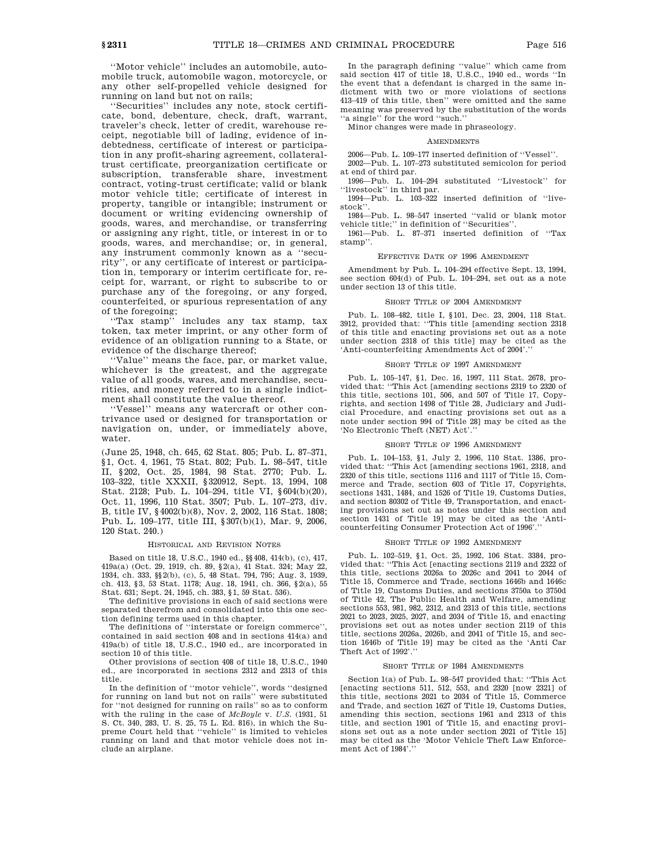''Motor vehicle'' includes an automobile, automobile truck, automobile wagon, motorcycle, or any other self-propelled vehicle designed for running on land but not on rails;

''Securities'' includes any note, stock certificate, bond, debenture, check, draft, warrant, traveler's check, letter of credit, warehouse receipt, negotiable bill of lading, evidence of indebtedness, certificate of interest or participation in any profit-sharing agreement, collateraltrust certificate, preorganization certificate or subscription, transferable share, investment contract, voting-trust certificate; valid or blank motor vehicle title; certificate of interest in property, tangible or intangible; instrument or document or writing evidencing ownership of goods, wares, and merchandise, or transferring or assigning any right, title, or interest in or to goods, wares, and merchandise; or, in general, any instrument commonly known as a ''security'', or any certificate of interest or participation in, temporary or interim certificate for, receipt for, warrant, or right to subscribe to or purchase any of the foregoing, or any forged, counterfeited, or spurious representation of any of the foregoing;

''Tax stamp'' includes any tax stamp, tax token, tax meter imprint, or any other form of evidence of an obligation running to a State, or evidence of the discharge thereof;

''Value'' means the face, par, or market value, whichever is the greatest, and the aggregate value of all goods, wares, and merchandise, securities, and money referred to in a single indictment shall constitute the value thereof.

'Vessel'' means any watercraft or other contrivance used or designed for transportation or navigation on, under, or immediately above, water.

(June 25, 1948, ch. 645, 62 Stat. 805; Pub. L. 87–371, §1, Oct. 4, 1961, 75 Stat. 802; Pub. L. 98–547, title II, §202, Oct. 25, 1984, 98 Stat. 2770; Pub. L. 103–322, title XXXII, §320912, Sept. 13, 1994, 108 Stat. 2128; Pub. L. 104–294, title VI, §604(b)(20), Oct. 11, 1996, 110 Stat. 3507; Pub. L. 107–273, div. B, title IV, §4002(b)(8), Nov. 2, 2002, 116 Stat. 1808; Pub. L. 109–177, title III, §307(b)(1), Mar. 9, 2006, 120 Stat. 240.)

# HISTORICAL AND REVISION NOTES

Based on title 18, U.S.C., 1940 ed., §§408, 414(b), (c), 417, 419a(a) (Oct. 29, 1919, ch. 89, §2(a), 41 Stat. 324; May 22, 1934, ch. 333, §§2(b), (c), 5, 48 Stat. 794, 795; Aug. 3, 1939, ch. 413, §3, 53 Stat. 1178; Aug. 18, 1941, ch. 366, §2(a), 55 Stat. 631; Sept. 24, 1945, ch. 383, §1, 59 Stat. 536).

The definitive provisions in each of said sections were separated therefrom and consolidated into this one section defining terms used in this chapter.

The definitions of "interstate or foreign commerce". contained in said section 408 and in sections 414(a) and 419a(b) of title 18, U.S.C., 1940 ed., are incorporated in section 10 of this title.

Other provisions of section 408 of title 18, U.S.C., 1940 ed., are incorporated in sections 2312 and 2313 of this title.

In the definition of ''motor vehicle'', words ''designed for running on land but not on rails'' were substituted for ''not designed for running on rails'' so as to conform with the ruling in the case of *McBoyle* v. *U.S*. (1931, 51 S. Ct. 340, 283, U. S. 25, 75 L. Ed. 816), in which the Supreme Court held that ''vehicle'' is limited to vehicles running on land and that motor vehicle does not include an airplane.

In the paragraph defining ''value'' which came from said section 417 of title 18, U.S.C., 1940 ed., words ''In the event that a defendant is charged in the same indictment with two or more violations of sections 413–419 of this title, then'' were omitted and the same meaning was preserved by the substitution of the words ''a single'' for the word ''such.''

Minor changes were made in phraseology.

# **AMENDMENTS**

2006—Pub. L. 109–177 inserted definition of ''Vessel''. 2002—Pub. L. 107–273 substituted semicolon for period at end of third par.

1996—Pub. L. 104–294 substituted ''Livestock'' for ''livestock'' in third par.

1994—Pub. L. 103–322 inserted definition of ''livestock''.

1984—Pub. L. 98–547 inserted ''valid or blank motor vehicle title;'' in definition of ''Securities''.

1961—Pub. L. 87–371 inserted definition of ''Tax stamp''.

# EFFECTIVE DATE OF 1996 AMENDMENT

Amendment by Pub. L. 104–294 effective Sept. 13, 1994, see section 604(d) of Pub. L. 104–294, set out as a note under section 13 of this title.

#### SHORT TITLE OF 2004 AMENDMENT

Pub. L. 108–482, title I, §101, Dec. 23, 2004, 118 Stat. 3912, provided that: ''This title [amending section 2318 of this title and enacting provisions set out as a note under section 2318 of this title] may be cited as the Anti-counterfeiting Amendments Act of 2004'.

# SHORT TITLE OF 1997 AMENDMENT

Pub. L. 105–147, §1, Dec. 16, 1997, 111 Stat. 2678, provided that: ''This Act [amending sections 2319 to 2320 of this title, sections 101, 506, and 507 of Title 17, Copyrights, and section 1498 of Title 28, Judiciary and Judicial Procedure, and enacting provisions set out as a note under section 994 of Title 28] may be cited as the 'No Electronic Theft (NET) Act'.''

### SHORT TITLE OF 1996 AMENDMENT

Pub. L. 104–153, §1, July 2, 1996, 110 Stat. 1386, provided that: ''This Act [amending sections 1961, 2318, and 2320 of this title, sections 1116 and 1117 of Title 15, Commerce and Trade, section 603 of Title 17, Copyrights, sections 1431, 1484, and 1526 of Title 19, Customs Duties, and section 80302 of Title 49, Transportation, and enacting provisions set out as notes under this section and section 1431 of Title 19] may be cited as the 'Anticounterfeiting Consumer Protection Act of 1996'.

#### SHORT TITLE OF 1992 AMENDMENT

Pub. L. 102–519, §1, Oct. 25, 1992, 106 Stat. 3384, provided that: ''This Act [enacting sections 2119 and 2322 of this title, sections 2026a to 2026c and 2041 to 2044 of Title 15, Commerce and Trade, sections 1646b and 1646c of Title 19, Customs Duties, and sections 3750a to 3750d of Title 42, The Public Health and Welfare, amending sections 553, 981, 982, 2312, and 2313 of this title, sections 2021 to 2023, 2025, 2027, and 2034 of Title 15, and enacting provisions set out as notes under section 2119 of this title, sections 2026a, 2026b, and 2041 of Title 15, and section 1646b of Title 19] may be cited as the 'Anti Car Theft Act of 1992'.''

# SHORT TITLE OF 1984 AMENDMENTS

Section 1(a) of Pub. L. 98–547 provided that: ''This Act [enacting sections 511, 512, 553, and 2320 [now 2321] of this title, sections 2021 to 2034 of Title 15, Commerce and Trade, and section 1627 of Title 19, Customs Duties, amending this section, sections 1961 and 2313 of this title, and section 1901 of Title 15, and enacting provisions set out as a note under section 2021 of Title 15] may be cited as the 'Motor Vehicle Theft Law Enforcement Act of 1984'.''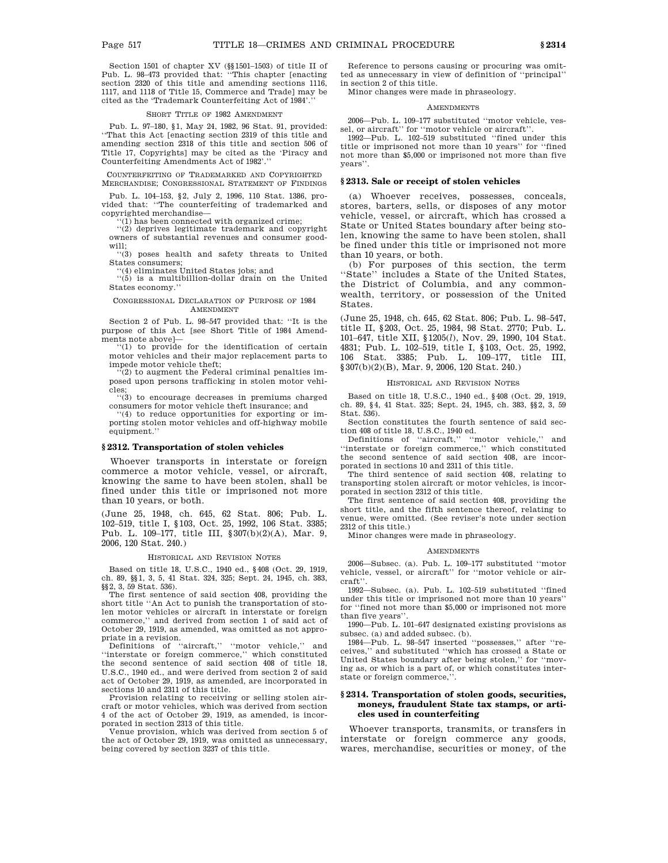Section 1501 of chapter XV (§§1501–1503) of title II of Pub. L. 98–473 provided that: ''This chapter [enacting section 2320 of this title and amending sections 1116, 1117, and 1118 of Title 15, Commerce and Trade] may be cited as the 'Trademark Counterfeiting Act of 1984'.''

# SHORT TITLE OF 1982 AMENDMENT

Pub. L. 97–180, §1, May 24, 1982, 96 Stat. 91, provided: ''That this Act [enacting section 2319 of this title and amending section 2318 of this title and section 506 of Title 17, Copyrights] may be cited as the 'Piracy and Counterfeiting Amendments Act of 1982'.''

COUNTERFEITING OF TRADEMARKED AND COPYRIGHTED MERCHANDISE; CONGRESSIONAL STATEMENT OF FINDINGS

Pub. L. 104–153, §2, July 2, 1996, 110 Stat. 1386, provided that: ''The counterfeiting of trademarked and copyrighted merchandise—

(1) has been connected with organized crime;

''(2) deprives legitimate trademark and copyright owners of substantial revenues and consumer goodwill;

''(3) poses health and safety threats to United States consumers;

''(4) eliminates United States jobs; and ''(5) is a multibillion-dollar drain on the United States economy.''

#### CONGRESSIONAL DECLARATION OF PURPOSE OF 1984 AMENDMENT

Section 2 of Pub. L. 98–547 provided that: ''It is the purpose of this Act [see Short Title of 1984 Amendments note above]—

''(1) to provide for the identification of certain motor vehicles and their major replacement parts to impede motor vehicle theft;

 $\cdot$ <sup>(2)</sup> to augment the Federal criminal penalties imposed upon persons trafficking in stolen motor vehicles;

''(3) to encourage decreases in premiums charged consumers for motor vehicle theft insurance; and

''(4) to reduce opportunities for exporting or importing stolen motor vehicles and off-highway mobile equipment.''

# **§ 2312. Transportation of stolen vehicles**

Whoever transports in interstate or foreign commerce a motor vehicle, vessel, or aircraft, knowing the same to have been stolen, shall be fined under this title or imprisoned not more than 10 years, or both.

(June 25, 1948, ch. 645, 62 Stat. 806; Pub. L. 102–519, title I, §103, Oct. 25, 1992, 106 Stat. 3385; Pub. L. 109–177, title III, §307(b)(2)(A), Mar. 9, 2006, 120 Stat. 240.)

# HISTORICAL AND REVISION NOTES

Based on title 18, U.S.C., 1940 ed., §408 (Oct. 29, 1919, ch. 89, §§1, 3, 5, 41 Stat. 324, 325; Sept. 24, 1945, ch. 383, §§2, 3, 59 Stat. 536).

The first sentence of said section 408, providing the short title ''An Act to punish the transportation of stolen motor vehicles or aircraft in interstate or foreign commerce,'' and derived from section 1 of said act of October 29, 1919, as amended, was omitted as not appropriate in a revision.

Definitions of ''aircraft,'' ''motor vehicle,'' and ''interstate or foreign commerce,'' which constituted the second sentence of said section 408 of title 18, U.S.C., 1940 ed., and were derived from section 2 of said act of October 29, 1919, as amended, are incorporated in sections 10 and 2311 of this title.

Provision relating to receiving or selling stolen aircraft or motor vehicles, which was derived from section 4 of the act of October 29, 1919, as amended, is incorporated in section 2313 of this title.

Venue provision, which was derived from section 5 of the act of October 29, 1919, was omitted as unnecessary, being covered by section 3237 of this title.

Reference to persons causing or procuring was omitted as unnecessary in view of definition of ''principal'' in section 2 of this title.

Minor changes were made in phraseology.

#### **AMENDMENTS**

2006—Pub. L. 109–177 substituted ''motor vehicle, vessel, or aircraft'' for ''motor vehicle or aircraft''.

1992—Pub. L. 102–519 substituted ''fined under this title or imprisoned not more than 10 years'' for ''fined not more than \$5,000 or imprisoned not more than five years''.

# **§ 2313. Sale or receipt of stolen vehicles**

(a) Whoever receives, possesses, conceals, stores, barters, sells, or disposes of any motor vehicle, vessel, or aircraft, which has crossed a State or United States boundary after being stolen, knowing the same to have been stolen, shall be fined under this title or imprisoned not more than 10 years, or both.

(b) For purposes of this section, the term "State" includes a State of the United States, the District of Columbia, and any commonwealth, territory, or possession of the United States.

(June 25, 1948, ch. 645, 62 Stat. 806; Pub. L. 98–547, title II, §203, Oct. 25, 1984, 98 Stat. 2770; Pub. L. 101–647, title XII, §1205(*l*), Nov. 29, 1990, 104 Stat. 4831; Pub. L. 102–519, title I, §103, Oct. 25, 1992, 106 Stat. 3385; Pub. L. 109–177, title III, §307(b)(2)(B), Mar. 9, 2006, 120 Stat. 240.)

#### HISTORICAL AND REVISION NOTES

Based on title 18, U.S.C., 1940 ed., §408 (Oct. 29, 1919, ch. 89, §4, 41 Stat. 325; Sept. 24, 1945, ch. 383, §§2, 3, 59 Stat. 536).

Section constitutes the fourth sentence of said section 408 of title 18, U.S.C., 1940 ed.

Definitions of ''aircraft,'' ''motor vehicle,'' and ''interstate or foreign commerce,'' which constituted the second sentence of said section 408, are incorporated in sections 10 and 2311 of this title.

The third sentence of said section 408, relating to transporting stolen aircraft or motor vehicles, is incorporated in section 2312 of this title.

The first sentence of said section 408, providing the short title, and the fifth sentence thereof, relating to venue, were omitted. (See reviser's note under section 2312 of this title.)

Minor changes were made in phraseology.

#### AMENDMENTS

2006—Subsec. (a). Pub. L. 109–177 substituted ''motor vehicle, vessel, or aircraft'' for ''motor vehicle or aircraft''.

1992—Subsec. (a). Pub. L. 102–519 substituted ''fined under this title or imprisoned not more than 10 years'' for ''fined not more than \$5,000 or imprisoned not more than five years''.

1990—Pub. L. 101–647 designated existing provisions as subsec. (a) and added subsec. (b).

1984—Pub. L. 98–547 inserted ''possesses,'' after ''receives,'' and substituted ''which has crossed a State or United States boundary after being stolen,'' for ''moving as, or which is a part of, or which constitutes interstate or foreign commerce,"

# **§ 2314. Transportation of stolen goods, securities, moneys, fraudulent State tax stamps, or articles used in counterfeiting**

Whoever transports, transmits, or transfers in interstate or foreign commerce any goods, wares, merchandise, securities or money, of the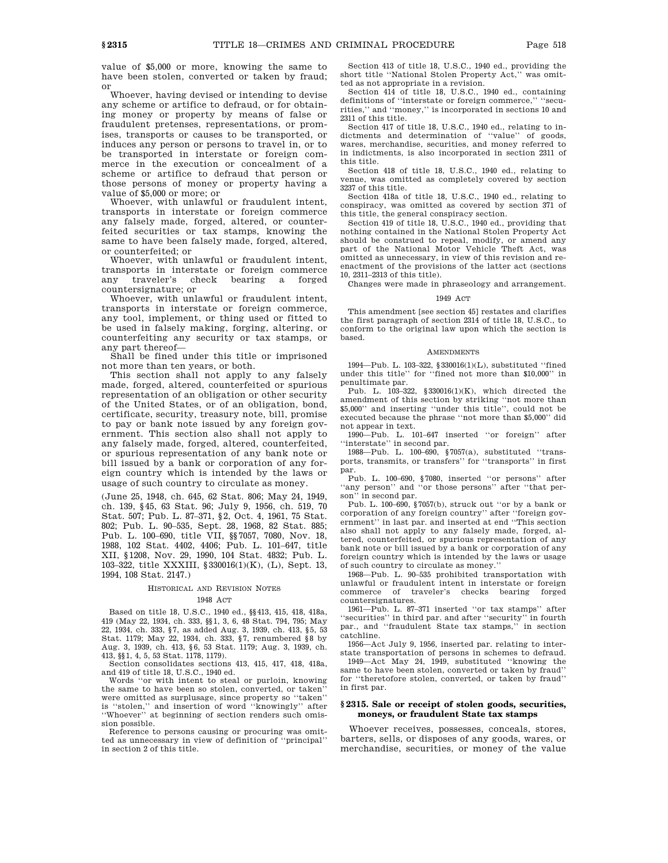value of \$5,000 or more, knowing the same to have been stolen, converted or taken by fraud; or

Whoever, having devised or intending to devise any scheme or artifice to defraud, or for obtaining money or property by means of false or fraudulent pretenses, representations, or promises, transports or causes to be transported, or induces any person or persons to travel in, or to be transported in interstate or foreign commerce in the execution or concealment of a scheme or artifice to defraud that person or those persons of money or property having a value of \$5,000 or more; or

Whoever, with unlawful or fraudulent intent, transports in interstate or foreign commerce any falsely made, forged, altered, or counterfeited securities or tax stamps, knowing the same to have been falsely made, forged, altered, or counterfeited; or

Whoever, with unlawful or fraudulent intent, transports in interstate or foreign commerce any traveler's check bearing a forged countersignature; or

Whoever, with unlawful or fraudulent intent, transports in interstate or foreign commerce, any tool, implement, or thing used or fitted to be used in falsely making, forging, altering, or counterfeiting any security or tax stamps, or any part thereof—

Shall be fined under this title or imprisoned not more than ten years, or both.

This section shall not apply to any falsely made, forged, altered, counterfeited or spurious representation of an obligation or other security of the United States, or of an obligation, bond, certificate, security, treasury note, bill, promise to pay or bank note issued by any foreign government. This section also shall not apply to any falsely made, forged, altered, counterfeited, or spurious representation of any bank note or bill issued by a bank or corporation of any foreign country which is intended by the laws or usage of such country to circulate as money.

(June 25, 1948, ch. 645, 62 Stat. 806; May 24, 1949, ch. 139, §45, 63 Stat. 96; July 9, 1956, ch. 519, 70 Stat. 507; Pub. L. 87–371, §2, Oct. 4, 1961, 75 Stat. 802; Pub. L. 90–535, Sept. 28, 1968, 82 Stat. 885; Pub. L. 100–690, title VII, §§7057, 7080, Nov. 18, 1988, 102 Stat. 4402, 4406; Pub. L. 101–647, title XII, §1208, Nov. 29, 1990, 104 Stat. 4832; Pub. L. 103–322, title XXXIII, §330016(1)(K), (L), Sept. 13, 1994, 108 Stat. 2147.)

# HISTORICAL AND REVISION NOTES

#### 1948 ACT

Based on title 18, U.S.C., 1940 ed., §§413, 415, 418, 418a, 419 (May 22, 1934, ch. 333, §§1, 3, 6, 48 Stat. 794, 795; May 22, 1934, ch. 333, §7, as added Aug. 3, 1939, ch. 413, §5, 53 Stat. 1179; May 22, 1934, ch. 333, §7, renumbered §8 by Aug. 3, 1939, ch. 413, §6, 53 Stat. 1179; Aug. 3, 1939, ch. 413, §§1, 4, 5, 53 Stat. 1178, 1179).

Section consolidates sections 413, 415, 417, 418, 418a, and 419 of title 18, U.S.C., 1940 ed.

Words ''or with intent to steal or purloin, knowing the same to have been so stolen, converted, or taken'' were omitted as surplusage, since property so ''taken'' is ''stolen,'' and insertion of word ''knowingly'' after ''Whoever'' at beginning of section renders such omission possible.

Reference to persons causing or procuring was omitted as unnecessary in view of definition of ''principal'' in section 2 of this title.

Section 413 of title 18, U.S.C., 1940 ed., providing the short title ''National Stolen Property Act,'' was omitted as not appropriate in a revision.

Section 414 of title 18, U.S.C., 1940 ed., containing definitions of ''interstate or foreign commerce,'' ''securities,'' and ''money,'' is incorporated in sections 10 and 2311 of this title.

Section 417 of title 18, U.S.C., 1940 ed., relating to indictments and determination of ''value'' of goods, wares, merchandise, securities, and money referred to in indictments, is also incorporated in section 2311 of this title.

Section 418 of title 18, U.S.C., 1940 ed., relating to venue, was omitted as completely covered by section 3237 of this title.

Section 418a of title 18, U.S.C., 1940 ed., relating to conspiracy, was omitted as covered by section 371 of this title, the general conspiracy section.

Section 419 of title 18, U.S.C., 1940 ed., providing that nothing contained in the National Stolen Property Act should be construed to repeal, modify, or amend any part of the National Motor Vehicle Theft Act, was omitted as unnecessary, in view of this revision and reenactment of the provisions of the latter act (sections 10, 2311–2313 of this title).

Changes were made in phraseology and arrangement.

#### 1949 ACT

This amendment [see section 45] restates and clarifies the first paragraph of section 2314 of title 18, U.S.C., to conform to the original law upon which the section is based.

#### AMENDMENTS

1994—Pub. L. 103–322, §330016(1)(L), substituted ''fined under this title'' for ''fined not more than \$10,000'' in penultimate par.

Pub. L. 103–322, §330016(1)(K), which directed the amendment of this section by striking ''not more than \$5,000'' and inserting ''under this title'', could not be executed because the phrase ''not more than \$5,000'' did not appear in text.

1990—Pub. L. 101–647 inserted ''or foreign'' after ''interstate'' in second par.

1988—Pub. L. 100–690, §7057(a), substituted ''transports, transmits, or transfers'' for ''transports'' in first par.

Pub. L. 100–690, §7080, inserted ''or persons'' after ''any person'' and ''or those persons'' after ''that person'' in second par.

Pub. L. 100–690, §7057(b), struck out ''or by a bank or corporation of any foreign country'' after ''foreign government'' in last par. and inserted at end ''This section also shall not apply to any falsely made, forged, altered, counterfeited, or spurious representation of any bank note or bill issued by a bank or corporation of any foreign country which is intended by the laws or usage of such country to circulate as money.''

1968—Pub. L. 90–535 prohibited transportation with unlawful or fraudulent intent in interstate or foreign commerce of traveler's checks bearing forged countersignatures.

1961—Pub. L. 87–371 inserted ''or tax stamps'' after ''securities'' in third par. and after ''security'' in fourth par., and ''fraudulent State tax stamps,'' in section catchline.

1956—Act July 9, 1956, inserted par. relating to interstate transportation of persons in schemes to defraud.

1949—Act May 24, 1949, substituted ''knowing the same to have been stolen, converted or taken by fraud'' for ''theretofore stolen, converted, or taken by fraud'' in first par.

# **§ 2315. Sale or receipt of stolen goods, securities, moneys, or fraudulent State tax stamps**

Whoever receives, possesses, conceals, stores, barters, sells, or disposes of any goods, wares, or merchandise, securities, or money of the value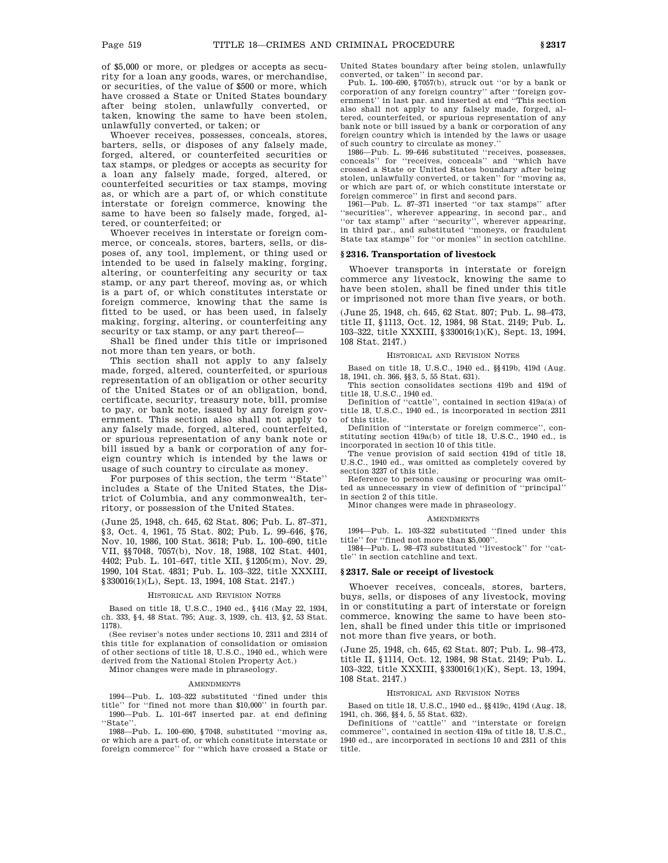of \$5,000 or more, or pledges or accepts as security for a loan any goods, wares, or merchandise, or securities, of the value of \$500 or more, which have crossed a State or United States boundary after being stolen, unlawfully converted, or taken, knowing the same to have been stolen, unlawfully converted, or taken; or

Whoever receives, possesses, conceals, stores, barters, sells, or disposes of any falsely made, forged, altered, or counterfeited securities or tax stamps, or pledges or accepts as security for a loan any falsely made, forged, altered, or counterfeited securities or tax stamps, moving as, or which are a part of, or which constitute interstate or foreign commerce, knowing the same to have been so falsely made, forged, altered, or counterfeited; or

Whoever receives in interstate or foreign commerce, or conceals, stores, barters, sells, or disposes of, any tool, implement, or thing used or intended to be used in falsely making, forging, altering, or counterfeiting any security or tax stamp, or any part thereof, moving as, or which is a part of, or which constitutes interstate or foreign commerce, knowing that the same is fitted to be used, or has been used, in falsely making, forging, altering, or counterfeiting any security or tax stamp, or any part thereof—

Shall be fined under this title or imprisoned not more than ten years, or both.

This section shall not apply to any falsely made, forged, altered, counterfeited, or spurious representation of an obligation or other security of the United States or of an obligation, bond, certificate, security, treasury note, bill, promise to pay, or bank note, issued by any foreign government. This section also shall not apply to any falsely made, forged, altered, counterfeited, or spurious representation of any bank note or bill issued by a bank or corporation of any foreign country which is intended by the laws or usage of such country to circulate as money.

For purposes of this section, the term ''State'' includes a State of the United States, the District of Columbia, and any commonwealth, territory, or possession of the United States.

(June 25, 1948, ch. 645, 62 Stat. 806; Pub. L. 87–371, §3, Oct. 4, 1961, 75 Stat. 802; Pub. L. 99–646, §76, Nov. 10, 1986, 100 Stat. 3618; Pub. L. 100–690, title VII, §§7048, 7057(b), Nov. 18, 1988, 102 Stat. 4401, 4402; Pub. L. 101–647, title XII, §1205(m), Nov. 29, 1990, 104 Stat. 4831; Pub. L. 103–322, title XXXIII, §330016(1)(L), Sept. 13, 1994, 108 Stat. 2147.)

#### HISTORICAL AND REVISION NOTES

Based on title 18, U.S.C., 1940 ed., §416 (May 22, 1934, ch. 333, §4, 48 Stat. 795; Aug. 3, 1939, ch. 413, §2, 53 Stat. 1178).

(See reviser's notes under sections 10, 2311 and 2314 of this title for explanation of consolidation or omission of other sections of title 18, U.S.C., 1940 ed., which were derived from the National Stolen Property Act.)

Minor changes were made in phraseology.

#### **AMENDMENTS**

1994—Pub. L. 103–322 substituted ''fined under this title'' for ''fined not more than \$10,000'' in fourth par. 1990—Pub. L. 101–647 inserted par. at end defining ''State''.

1988—Pub. L. 100–690, §7048, substituted ''moving as, or which are a part of, or which constitute interstate or foreign commerce'' for ''which have crossed a State or United States boundary after being stolen, unlawfully converted, or taken'' in second par.

Pub. L. 100–690, §7057(b), struck out ''or by a bank or corporation of any foreign country'' after ''foreign government'' in last par. and inserted at end ''This section also shall not apply to any falsely made, forged, altered, counterfeited, or spurious representation of any bank note or bill issued by a bank or corporation of any foreign country which is intended by the laws or usage of such country to circulate as money.

1986—Pub. L. 99–646 substituted ''receives, possesses, conceals'' for ''receives, conceals'' and ''which have crossed a State or United States boundary after being stolen, unlawfully converted, or taken'' for ''moving as, or which are part of, or which constitute interstate or foreign commerce'' in first and second pars.

1961—Pub. L. 87–371 inserted ''or tax stamps'' after ''securities'', wherever appearing, in second par., and ''or tax stamp'' after ''security'', wherever appearing, in third par., and substituted ''moneys, or fraudulent State tax stamps'' for ''or monies'' in section catchline.

### **§ 2316. Transportation of livestock**

Whoever transports in interstate or foreign commerce any livestock, knowing the same to have been stolen, shall be fined under this title or imprisoned not more than five years, or both.

(June 25, 1948, ch. 645, 62 Stat. 807; Pub. L. 98–473, title II, §1113, Oct. 12, 1984, 98 Stat. 2149; Pub. L. 103–322, title XXXIII, §330016(1)(K), Sept. 13, 1994, 108 Stat. 2147.)

#### HISTORICAL AND REVISION NOTES

Based on title 18, U.S.C., 1940 ed., §§419b, 419d (Aug. 18, 1941, ch. 366, §§3, 5, 55 Stat. 631).

This section consolidates sections 419b and 419d of

title 18, U.S.C., 1940 ed. Definition of ''cattle'', contained in section 419a(a) of title 18, U.S.C., 1940 ed., is incorporated in section 2311 of this title.

Definition of ''interstate or foreign commerce'', constituting section 419a(b) of title 18, U.S.C., 1940 ed., is incorporated in section 10 of this title.

The venue provision of said section 419d of title 18, U.S.C., 1940 ed., was omitted as completely covered by section 3237 of this title.

Reference to persons causing or procuring was omitted as unnecessary in view of definition of ''principal'' in section 2 of this title.

Minor changes were made in phraseology.

### AMENDMENTS

1994—Pub. L. 103–322 substituted ''fined under this title'' for ''fined not more than \$5,000''.

1984—Pub. L. 98–473 substituted ''livestock'' for ''cattle'' in section catchline and text.

#### **§ 2317. Sale or receipt of livestock**

Whoever receives, conceals, stores, barters, buys, sells, or disposes of any livestock, moving in or constituting a part of interstate or foreign commerce, knowing the same to have been stolen, shall be fined under this title or imprisoned not more than five years, or both.

(June 25, 1948, ch. 645, 62 Stat. 807; Pub. L. 98–473, title II, §1114, Oct. 12, 1984, 98 Stat. 2149; Pub. L. 103–322, title XXXIII, §330016(1)(K), Sept. 13, 1994, 108 Stat. 2147.)

### HISTORICAL AND REVISION NOTES

Based on title 18, U.S.C., 1940 ed., §§419c, 419d (Aug. 18,

1941, ch. 366, §§4, 5, 55 Stat. 632). Definitions of ''cattle'' and ''interstate or foreign commerce'', contained in section 419a of title 18, U.S.C., 1940 ed., are incorporated in sections 10 and 2311 of this title.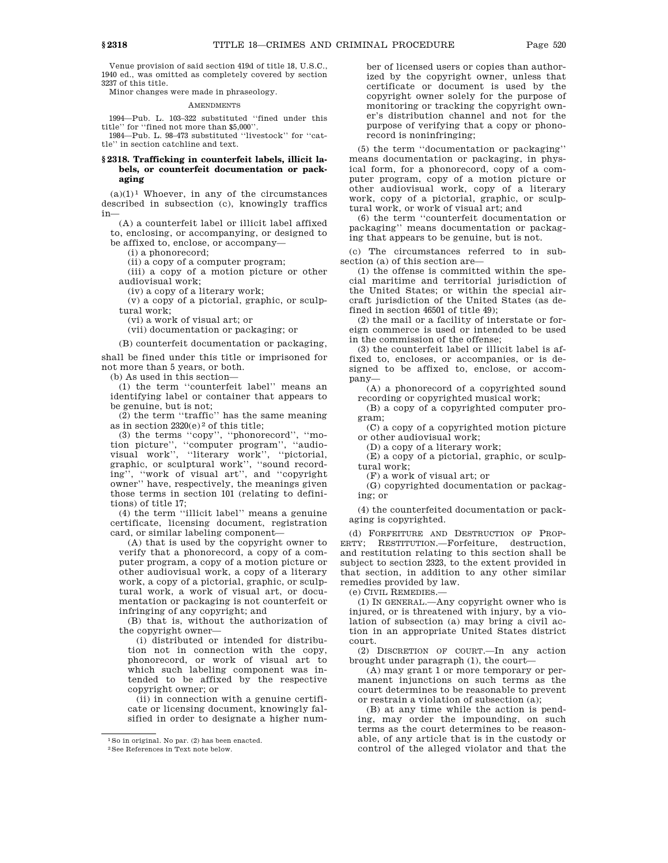Venue provision of said section 419d of title 18, U.S.C., 1940 ed., was omitted as completely covered by section 3237 of this title.

Minor changes were made in phraseology.

AMENDMENTS

1994—Pub. L. 103–322 substituted ''fined under this title'' for ''fined not more than \$5,000''.

1984—Pub. L. 98–473 substituted ''livestock'' for ''cattle'' in section catchline and text.

# **§ 2318. Trafficking in counterfeit labels, illicit labels, or counterfeit documentation or packaging**

 $(a)(1)^1$  Whoever, in any of the circumstances described in subsection (c), knowingly traffics in—

(A) a counterfeit label or illicit label affixed to, enclosing, or accompanying, or designed to be affixed to, enclose, or accompany—

(i) a phonorecord;

(ii) a copy of a computer program;

(iii) a copy of a motion picture or other audiovisual work;

(iv) a copy of a literary work;

(v) a copy of a pictorial, graphic, or sculptural work;

(vi) a work of visual art; or

(vii) documentation or packaging; or

(B) counterfeit documentation or packaging,

shall be fined under this title or imprisoned for not more than 5 years, or both.

(b) As used in this section—

(1) the term ''counterfeit label'' means an identifying label or container that appears to be genuine, but is not;

(2) the term ''traffic'' has the same meaning as in section  $2320(e)^2$  of this title;

(3) the terms ''copy'', ''phonorecord'', ''motion picture'', ''computer program'', ''audiovisual work'', ''literary work'', ''pictorial, graphic, or sculptural work'', ''sound recording'', ''work of visual art'', and ''copyright owner'' have, respectively, the meanings given those terms in section 101 (relating to definitions) of title 17;

(4) the term ''illicit label'' means a genuine certificate, licensing document, registration card, or similar labeling component—

(A) that is used by the copyright owner to verify that a phonorecord, a copy of a computer program, a copy of a motion picture or other audiovisual work, a copy of a literary work, a copy of a pictorial, graphic, or sculptural work, a work of visual art, or documentation or packaging is not counterfeit or infringing of any copyright; and

(B) that is, without the authorization of the copyright owner—

(i) distributed or intended for distribution not in connection with the copy, phonorecord, or work of visual art to which such labeling component was intended to be affixed by the respective copyright owner; or

(ii) in connection with a genuine certificate or licensing document, knowingly falsified in order to designate a higher number of licensed users or copies than authorized by the copyright owner, unless that certificate or document is used by the copyright owner solely for the purpose of monitoring or tracking the copyright owner's distribution channel and not for the purpose of verifying that a copy or phonorecord is noninfringing;

(5) the term ''documentation or packaging'' means documentation or packaging, in physical form, for a phonorecord, copy of a computer program, copy of a motion picture or other audiovisual work, copy of a literary work, copy of a pictorial, graphic, or sculptural work, or work of visual art; and

(6) the term ''counterfeit documentation or packaging'' means documentation or packaging that appears to be genuine, but is not.

(c) The circumstances referred to in subsection (a) of this section are—

(1) the offense is committed within the special maritime and territorial jurisdiction of the United States; or within the special aircraft jurisdiction of the United States (as defined in section 46501 of title 49);

(2) the mail or a facility of interstate or foreign commerce is used or intended to be used in the commission of the offense;

(3) the counterfeit label or illicit label is affixed to, encloses, or accompanies, or is designed to be affixed to, enclose, or accompany—

(A) a phonorecord of a copyrighted sound recording or copyrighted musical work;

(B) a copy of a copyrighted computer program;

(C) a copy of a copyrighted motion picture or other audiovisual work;

(D) a copy of a literary work;

(E) a copy of a pictorial, graphic, or sculptural work;

(F) a work of visual art; or

(G) copyrighted documentation or packaging; or

(4) the counterfeited documentation or packaging is copyrighted.

(d) FORFEITURE AND DESTRUCTION OF PROP-ERTY; RESTITUTION.—Forfeiture, destruction, and restitution relating to this section shall be subject to section 2323, to the extent provided in that section, in addition to any other similar remedies provided by law.

(e) CIVIL REMEDIES.—

(1) IN GENERAL.—Any copyright owner who is injured, or is threatened with injury, by a violation of subsection (a) may bring a civil action in an appropriate United States district court.

(2) DISCRETION OF COURT.—In any action brought under paragraph (1), the court—

(A) may grant 1 or more temporary or permanent injunctions on such terms as the court determines to be reasonable to prevent or restrain a violation of subsection (a);

(B) at any time while the action is pending, may order the impounding, on such terms as the court determines to be reasonable, of any article that is in the custody or control of the alleged violator and that the

<sup>1</sup>So in original. No par. (2) has been enacted.

<sup>2</sup>See References in Text note below.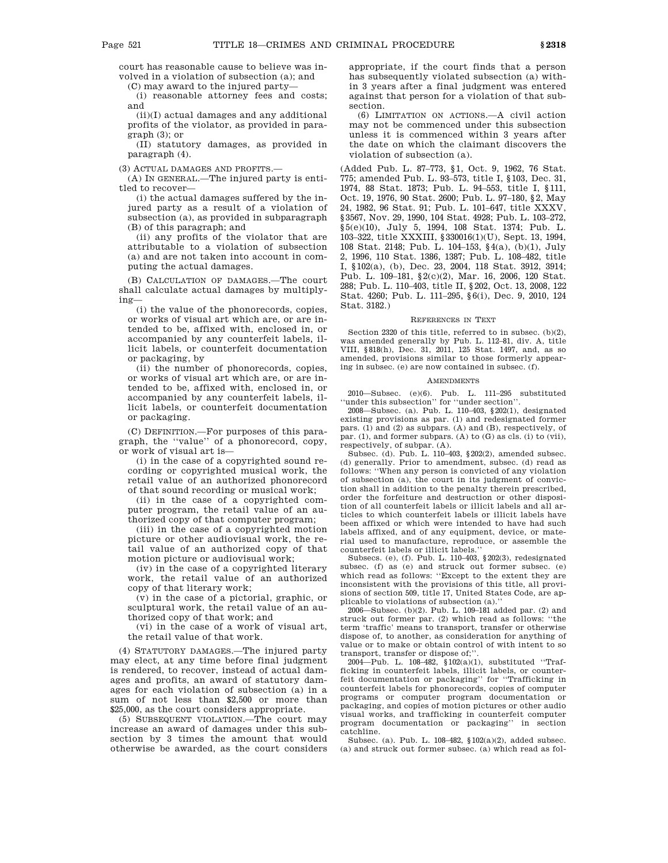court has reasonable cause to believe was involved in a violation of subsection (a); and

(C) may award to the injured party— (i) reasonable attorney fees and costs;

and

(ii)(I) actual damages and any additional profits of the violator, as provided in paragraph (3); or

(II) statutory damages, as provided in paragraph (4).

(3) ACTUAL DAMAGES AND PROFITS.—

(A) IN GENERAL.—The injured party is entitled to recover—

(i) the actual damages suffered by the injured party as a result of a violation of subsection (a), as provided in subparagraph (B) of this paragraph; and

(ii) any profits of the violator that are attributable to a violation of subsection (a) and are not taken into account in computing the actual damages.

(B) CALCULATION OF DAMAGES.—The court shall calculate actual damages by multiplying—

(i) the value of the phonorecords, copies, or works of visual art which are, or are intended to be, affixed with, enclosed in, or accompanied by any counterfeit labels, illicit labels, or counterfeit documentation or packaging, by

(ii) the number of phonorecords, copies, or works of visual art which are, or are intended to be, affixed with, enclosed in, or accompanied by any counterfeit labels, illicit labels, or counterfeit documentation or packaging.

(C) DEFINITION.—For purposes of this paragraph, the ''value'' of a phonorecord, copy, or work of visual art is—

(i) in the case of a copyrighted sound recording or copyrighted musical work, the retail value of an authorized phonorecord of that sound recording or musical work;

(ii) in the case of a copyrighted computer program, the retail value of an authorized copy of that computer program;

(iii) in the case of a copyrighted motion picture or other audiovisual work, the retail value of an authorized copy of that motion picture or audiovisual work;

(iv) in the case of a copyrighted literary work, the retail value of an authorized copy of that literary work;

(v) in the case of a pictorial, graphic, or sculptural work, the retail value of an authorized copy of that work; and

(vi) in the case of a work of visual art, the retail value of that work.

(4) STATUTORY DAMAGES.—The injured party may elect, at any time before final judgment is rendered, to recover, instead of actual damages and profits, an award of statutory damages for each violation of subsection (a) in a sum of not less than \$2,500 or more than \$25,000, as the court considers appropriate.

(5) SUBSEQUENT VIOLATION.—The court may increase an award of damages under this subsection by 3 times the amount that would otherwise be awarded, as the court considers

appropriate, if the court finds that a person has subsequently violated subsection (a) within 3 years after a final judgment was entered against that person for a violation of that subsection.

(6) LIMITATION ON ACTIONS.—A civil action may not be commenced under this subsection unless it is commenced within 3 years after the date on which the claimant discovers the violation of subsection (a).

(Added Pub. L. 87–773, §1, Oct. 9, 1962, 76 Stat. 775; amended Pub. L. 93–573, title I, §103, Dec. 31, 1974, 88 Stat. 1873; Pub. L. 94–553, title I, §111, Oct. 19, 1976, 90 Stat. 2600; Pub. L. 97–180, §2, May 24, 1982, 96 Stat. 91; Pub. L. 101–647, title XXXV, §3567, Nov. 29, 1990, 104 Stat. 4928; Pub. L. 103–272, §5(e)(10), July 5, 1994, 108 Stat. 1374; Pub. L. 103–322, title XXXIII, §330016(1)(U), Sept. 13, 1994, 108 Stat. 2148; Pub. L. 104–153, §4(a), (b)(1), July 2, 1996, 110 Stat. 1386, 1387; Pub. L. 108–482, title I, §102(a), (b), Dec. 23, 2004, 118 Stat. 3912, 3914; Pub. L. 109–181, §2(c)(2), Mar. 16, 2006, 120 Stat. 288; Pub. L. 110–403, title II, §202, Oct. 13, 2008, 122 Stat. 4260; Pub. L. 111–295, §6(i), Dec. 9, 2010, 124 Stat. 3182.)

### REFERENCES IN TEXT

Section 2320 of this title, referred to in subsec. (b)(2), was amended generally by Pub. L. 112–81, div. A, title VIII, §818(h), Dec. 31, 2011, 125 Stat. 1497, and, as so amended, provisions similar to those formerly appearing in subsec. (e) are now contained in subsec. (f).

#### AMENDMENTS

2010—Subsec. (e)(6). Pub. L. 111–295 substituted ''under this subsection'' for ''under section''.

2008—Subsec. (a). Pub. L. 110–403, §202(1), designated existing provisions as par. (1) and redesignated former pars. (1) and (2) as subpars. (A) and (B), respectively, of par. (1), and former subpars. (A) to (G) as cls. (i) to (vii), respectively, of subpar. (A).

Subsec. (d). Pub. L. 110–403, §202(2), amended subsec. (d) generally. Prior to amendment, subsec. (d) read as follows: ''When any person is convicted of any violation of subsection (a), the court in its judgment of conviction shall in addition to the penalty therein prescribed, order the forfeiture and destruction or other disposition of all counterfeit labels or illicit labels and all articles to which counterfeit labels or illicit labels have been affixed or which were intended to have had such labels affixed, and of any equipment, device, or material used to manufacture, reproduce, or assemble the counterfeit labels or illicit labels.''

Subsecs. (e), (f). Pub. L. 110–403, §202(3), redesignated subsec. (f) as (e) and struck out former subsec. (e) which read as follows: ''Except to the extent they are inconsistent with the provisions of this title, all provisions of section 509, title 17, United States Code, are applicable to violations of subsection (a).''

2006—Subsec. (b)(2). Pub. L. 109–181 added par. (2) and struck out former par. (2) which read as follows: ''the term 'traffic' means to transport, transfer or otherwise dispose of, to another, as consideration for anything of value or to make or obtain control of with intent to so transport, transfer or dispose of;''.

2004—Pub. L. 108–482, §102(a)(1), substituted ''Trafficking in counterfeit labels, illicit labels, or counterfeit documentation or packaging'' for ''Trafficking in counterfeit labels for phonorecords, copies of computer programs or computer program documentation or packaging, and copies of motion pictures or other audio visual works, and trafficking in counterfeit computer program documentation or packaging'' in section catchline.

Subsec. (a). Pub. L. 108–482, §102(a)(2), added subsec. (a) and struck out former subsec. (a) which read as fol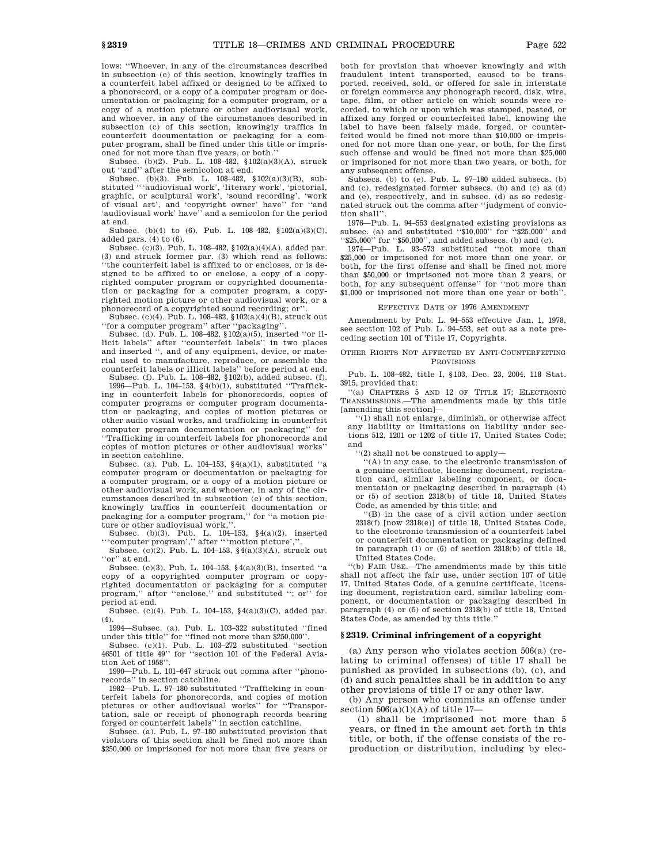lows: ''Whoever, in any of the circumstances described in subsection (c) of this section, knowingly traffics in a counterfeit label affixed or designed to be affixed to a phonorecord, or a copy of a computer program or documentation or packaging for a computer program, or a copy of a motion picture or other audiovisual work, and whoever, in any of the circumstances described in subsection (c) of this section, knowingly traffics in counterfeit documentation or packaging for a computer program, shall be fined under this title or imprisoned for not more than five years, or both.''

Subsec. (b)(2). Pub. L. 108–482, §102(a)(3)(A), struck out ''and'' after the semicolon at end.

Subsec. (b)(3). Pub. L. 108–482, §102(a)(3)(B), substituted '''audiovisual work', 'literary work', 'pictorial, graphic, or sculptural work', 'sound recording', 'work of visual art', and 'copyright owner' have'' for ''and 'audiovisual work' have'' and a semicolon for the period at end.

Subsec. (b)(4) to (6). Pub. L. 108–482, §102(a)(3)(C), added pars. (4) to (6).

Subsec. (c)(3). Pub. L. 108–482, §102(a)(4)(A), added par. (3) and struck former par. (3) which read as follows: ''the counterfeit label is affixed to or encloses, or is designed to be affixed to or enclose, a copy of a copyrighted computer program or copyrighted documentation or packaging for a computer program, a copyrighted motion picture or other audiovisual work, or a phonorecord of a copyrighted sound recording; or''.

Subsec. (c)(4). Pub. L. 108–482, §102(a)(4)(B), struck out ''for a computer program'' after ''packaging''.

Subsec. (d). Pub. L. 108–482, §102(a)(5), inserted ''or illicit labels'' after ''counterfeit labels'' in two places and inserted '', and of any equipment, device, or material used to manufacture, reproduce, or assemble the counterfeit labels or illicit labels'' before period at end. Subsec. (f). Pub. L. 108–482, §102(b), added subsec. (f).

1996—Pub. L. 104–153, §4(b)(1), substituted ''Trafficking in counterfeit labels for phonorecords, copies of computer programs or computer program documentation or packaging, and copies of motion pictures or other audio visual works, and trafficking in counterfeit computer program documentation or packaging'' for ''Trafficking in counterfeit labels for phonorecords and copies of motion pictures or other audiovisual works'' in section catchline.

Subsec. (a). Pub. L. 104–153, §4(a)(1), substituted ''a computer program or documentation or packaging for a computer program, or a copy of a motion picture or other audiovisual work, and whoever, in any of the circumstances described in subsection (c) of this section, knowingly traffics in counterfeit documentation or packaging for a computer program,'' for ''a motion picture or other audiovisual work,'

Subsec. (b)(3). Pub. L. 104–153, §4(a)(2), inserted

'''computer program','' after '''motion picture',''. Subsec. (c)(2). Pub. L. 104–153, §4(a)(3)(A), struck out "or" at end.

Subsec. (c)(3). Pub. L. 104–153, §4(a)(3)(B), inserted ''a copy of a copyrighted computer program or copyrighted documentation or packaging for a computer program,'' after ''enclose,'' and substituted ''; or'' for period at end.

Subsec. (c)(4). Pub. L. 104–153, §4(a)(3)(C), added par. (4).

1994—Subsec. (a). Pub. L. 103–322 substituted ''fined under this title'' for ''fined not more than \$250,000''.

Subsec. (c)(1). Pub. L. 103–272 substituted ''section 46501 of title 49'' for ''section 101 of the Federal Aviation Act of 1958''.

1990—Pub. L. 101–647 struck out comma after ''phonorecords'' in section catchline.

1982—Pub. L. 97–180 substituted ''Trafficking in counterfeit labels for phonorecords, and copies of motion pictures or other audiovisual works'' for ''Transportation, sale or receipt of phonograph records bearing forged or counterfeit labels'' in section catchline.

Subsec. (a). Pub. L. 97–180 substituted provision that violators of this section shall be fined not more than \$250,000 or imprisoned for not more than five years or

both for provision that whoever knowingly and with fraudulent intent transported, caused to be transported, received, sold, or offered for sale in interstate or foreign commerce any phonograph record, disk, wire, tape, film, or other article on which sounds were recorded, to which or upon which was stamped, pasted, or affixed any forged or counterfeited label, knowing the label to have been falsely made, forged, or counterfeited would be fined not more than \$10,000 or imprisoned for not more than one year, or both, for the first such offense and would be fined not more than \$25,000 or imprisoned for not more than two years, or both, for any subsequent offense.

Subsecs. (b) to (e). Pub. L. 97–180 added subsecs. (b) and (c), redesignated former subsecs. (b) and (c) as (d) and (e), respectively, and in subsec. (d) as so redesignated struck out the comma after ''judgment of conviction shall''.

1976—Pub. L. 94–553 designated existing provisions as subsec. (a) and substituted ''\$10,000'' for ''\$25,000'' and ''\$25,000'' for ''\$50,000'', and added subsecs. (b) and (c).

1974—Pub. L. 93–573 substituted ''not more than \$25,000 or imprisoned for not more than one year, or both, for the first offense and shall be fined not more than \$50,000 or imprisoned not more than 2 years, or both, for any subsequent offense'' for ''not more than \$1,000 or imprisoned not more than one year or both''.

# EFFECTIVE DATE OF 1976 AMENDMENT

Amendment by Pub. L. 94–553 effective Jan. 1, 1978, see section 102 of Pub. L. 94–553, set out as a note preceding section 101 of Title 17, Copyrights.

### OTHER RIGHTS NOT AFFECTED BY ANTI-COUNTERFEITING PROVISIONS

Pub. L. 108–482, title I, §103, Dec. 23, 2004, 118 Stat. 3915, provided that:

''(a) CHAPTERS 5 AND 12 OF TITLE 17; ELECTRONIC TRANSMISSIONS.—The amendments made by this title [amending this section]—

''(1) shall not enlarge, diminish, or otherwise affect any liability or limitations on liability under sections 512, 1201 or 1202 of title 17, United States Code; and

''(2) shall not be construed to apply—

''(A) in any case, to the electronic transmission of a genuine certificate, licensing document, registration card, similar labeling component, or documentation or packaging described in paragraph (4) or (5) of section 2318(b) of title 18, United States Code, as amended by this title; and

''(B) in the case of a civil action under section 2318(f) [now 2318(e)] of title 18, United States Code, to the electronic transmission of a counterfeit label or counterfeit documentation or packaging defined in paragraph (1) or (6) of section 2318(b) of title 18, United States Code.

''(b) FAIR USE.—The amendments made by this title shall not affect the fair use, under section 107 of title 17, United States Code, of a genuine certificate, licensing document, registration card, similar labeling component, or documentation or packaging described in paragraph (4) or (5) of section 2318(b) of title 18, United States Code, as amended by this title.''

# **§ 2319. Criminal infringement of a copyright**

(a) Any person who violates section 506(a) (relating to criminal offenses) of title 17 shall be punished as provided in subsections (b), (c), and (d) and such penalties shall be in addition to any other provisions of title 17 or any other law.

(b) Any person who commits an offense under section  $506(a)(1)(A)$  of title 17-

(1) shall be imprisoned not more than 5 years, or fined in the amount set forth in this title, or both, if the offense consists of the reproduction or distribution, including by elec-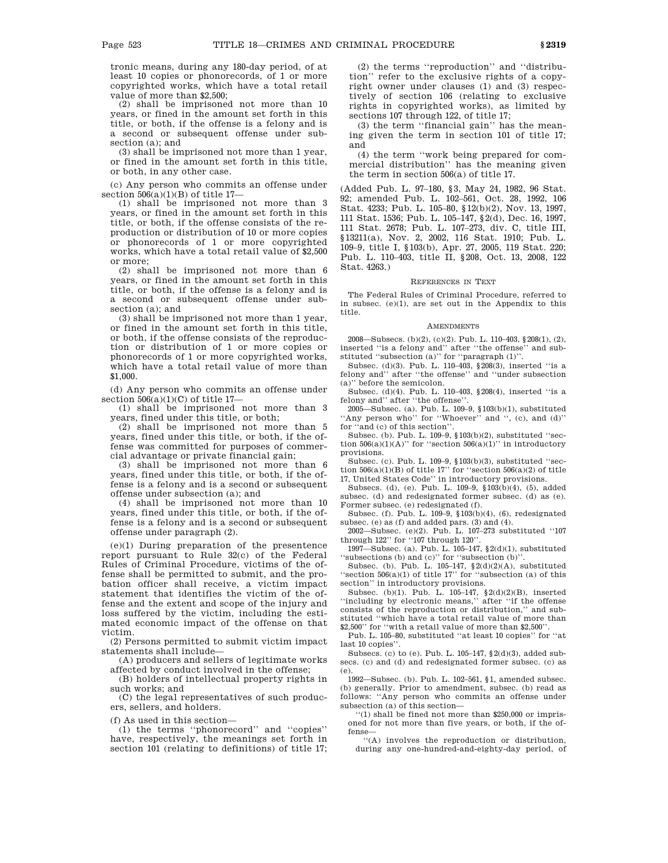tronic means, during any 180-day period, of at least 10 copies or phonorecords, of 1 or more copyrighted works, which have a total retail value of more than \$2,500;

(2) shall be imprisoned not more than 10 years, or fined in the amount set forth in this title, or both, if the offense is a felony and is a second or subsequent offense under subsection (a); and

(3) shall be imprisoned not more than 1 year, or fined in the amount set forth in this title, or both, in any other case.

(c) Any person who commits an offense under section  $506(a)(1)(B)$  of title 17-

(1) shall be imprisoned not more than 3 years, or fined in the amount set forth in this title, or both, if the offense consists of the reproduction or distribution of 10 or more copies or phonorecords of 1 or more copyrighted works, which have a total retail value of \$2,500 or more;

(2) shall be imprisoned not more than 6 years, or fined in the amount set forth in this title, or both, if the offense is a felony and is a second or subsequent offense under subsection (a); and

(3) shall be imprisoned not more than 1 year, or fined in the amount set forth in this title, or both, if the offense consists of the reproduction or distribution of 1 or more copies or phonorecords of 1 or more copyrighted works, which have a total retail value of more than \$1,000.

(d) Any person who commits an offense under section  $506(a)(1)(C)$  of title 17-

(1) shall be imprisoned not more than 3 years, fined under this title, or both;

(2) shall be imprisoned not more than 5 years, fined under this title, or both, if the offense was committed for purposes of commercial advantage or private financial gain;

(3) shall be imprisoned not more than 6 years, fined under this title, or both, if the offense is a felony and is a second or subsequent offense under subsection (a); and

(4) shall be imprisoned not more than 10 years, fined under this title, or both, if the offense is a felony and is a second or subsequent offense under paragraph (2).

(e)(1) During preparation of the presentence report pursuant to Rule 32(c) of the Federal Rules of Criminal Procedure, victims of the offense shall be permitted to submit, and the probation officer shall receive, a victim impact statement that identifies the victim of the offense and the extent and scope of the injury and loss suffered by the victim, including the estimated economic impact of the offense on that victim.

(2) Persons permitted to submit victim impact statements shall include—

(A) producers and sellers of legitimate works affected by conduct involved in the offense;

(B) holders of intellectual property rights in such works; and

(C) the legal representatives of such producers, sellers, and holders.

(f) As used in this section—

(1) the terms ''phonorecord'' and ''copies'' have, respectively, the meanings set forth in section 101 (relating to definitions) of title 17;

(2) the terms ''reproduction'' and ''distribution'' refer to the exclusive rights of a copyright owner under clauses (1) and (3) respectively of section 106 (relating to exclusive rights in copyrighted works), as limited by sections 107 through 122, of title 17;

(3) the term ''financial gain'' has the meaning given the term in section 101 of title 17; and

(4) the term ''work being prepared for commercial distribution'' has the meaning given the term in section 506(a) of title 17.

(Added Pub. L. 97–180, §3, May 24, 1982, 96 Stat. 92; amended Pub. L. 102–561, Oct. 28, 1992, 106 Stat. 4233; Pub. L. 105–80, §12(b)(2), Nov. 13, 1997, 111 Stat. 1536; Pub. L. 105–147, §2(d), Dec. 16, 1997, 111 Stat. 2678; Pub. L. 107–273, div. C, title III, §13211(a), Nov. 2, 2002, 116 Stat. 1910; Pub. L. 109–9, title I, §103(b), Apr. 27, 2005, 119 Stat. 220; Pub. L. 110–403, title II, §208, Oct. 13, 2008, 122 Stat. 4263.)

### REFERENCES IN TEXT

The Federal Rules of Criminal Procedure, referred to in subsec. (e)(1), are set out in the Appendix to this title.

#### AMENDMENTS

2008—Subsecs. (b)(2), (c)(2). Pub. L. 110–403, §208(1), (2), inserted ''is a felony and'' after ''the offense'' and substituted ''subsection (a)'' for ''paragraph (1)''.

Subsec. (d)(3). Pub. L. 110–403, §208(3), inserted ''is a felony and'' after ''the offense'' and ''under subsection (a)'' before the semicolon.

Subsec. (d)(4). Pub. L. 110–403, §208(4), inserted ''is a felony and'' after ''the offense''.

2005—Subsec. (a). Pub. L. 109–9, §103(b)(1), substituted ''Any person who'' for ''Whoever'' and '', (c), and (d)'' for ''and (c) of this section''.

Subsec. (b). Pub. L. 109–9, §103(b)(2), substituted ''section  $506(a)(1)(A)$ " for "section  $506(a)(1)$ " in introductory provisions.

Subsec. (c). Pub. L. 109–9, §103(b)(3), substituted ''section  $506(a)(1)(B)$  of title 17" for "section  $506(a)(2)$  of title 17, United States Code'' in introductory provisions.

Subsecs. (d), (e). Pub. L. 109–9, §103(b)(4), (5), added subsec. (d) and redesignated former subsec. (d) as (e). Former subsec. (e) redesignated (f).

Subsec. (f). Pub. L. 109–9, §103(b)(4), (6), redesignated subsec. (e) as (f) and added pars. (3) and (4).

2002—Subsec. (e)(2). Pub. L. 107–273 substituted ''107 through 122'' for ''107 through 120''.

1997—Subsec. (a). Pub. L. 105–147, §2(d)(1), substituted "subsections (b) and (c)" for "subsection (b)"

Subsec. (b). Pub. L. 105–147,  $\S2(d)(2)(A)$ , substituted "section  $506(a)(1)$  of title 17" for "subsection (a) of this section'' in introductory provisions.

Subsec. (b)(1). Pub. L. 105–147, §2(d)(2)(B), inserted ''including by electronic means,'' after ''if the offense consists of the reproduction or distribution,'' and substituted ''which have a total retail value of more than \$2,500" for "with a retail value of more than \$2,500"

Pub. L. 105–80, substituted ''at least 10 copies'' for ''at last 10 copies''.

Subsecs. (c) to (e). Pub. L. 105–147, §2(d)(3), added subsecs. (c) and (d) and redesignated former subsec. (c) as (e).

1992—Subsec. (b). Pub. L. 102–561, §1, amended subsec. (b) generally. Prior to amendment, subsec. (b) read as follows: ''Any person who commits an offense under subsection (a) of this section—

''(1) shall be fined not more than \$250,000 or imprisoned for not more than five years, or both, if the offense—

''(A) involves the reproduction or distribution, during any one-hundred-and-eighty-day period, of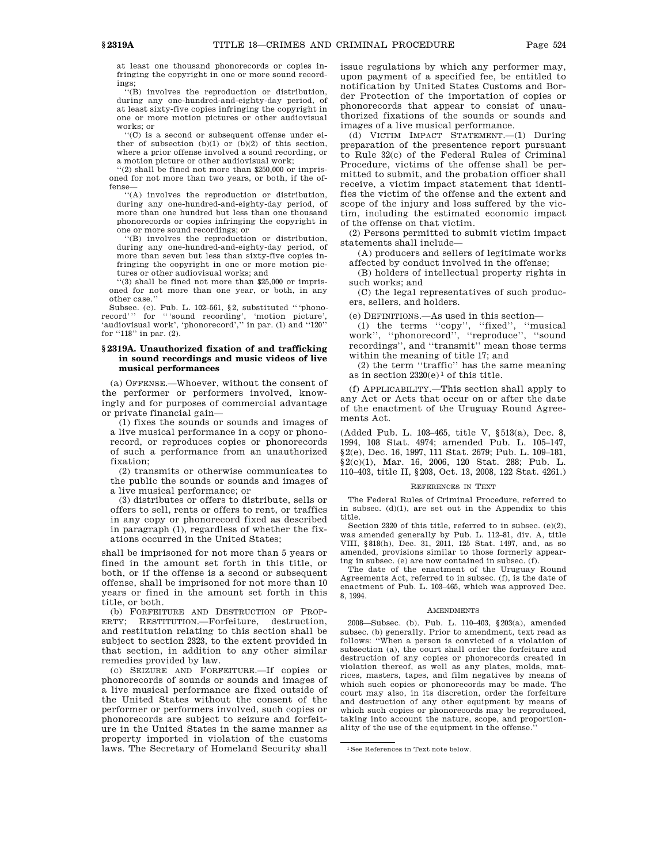at least one thousand phonorecords or copies infringing the copyright in one or more sound recordings;

 $f(B)$  involves the reproduction or distribution, during any one-hundred-and-eighty-day period, of at least sixty-five copies infringing the copyright in one or more motion pictures or other audiovisual works; or

''(C) is a second or subsequent offense under either of subsection  $(b)(1)$  or  $(b)(2)$  of this section, where a prior offense involved a sound recording, or a motion picture or other audiovisual work;

''(2) shall be fined not more than \$250,000 or imprisoned for not more than two years, or both, if the offense—

''(A) involves the reproduction or distribution, during any one-hundred-and-eighty-day period, of more than one hundred but less than one thousand phonorecords or copies infringing the copyright in one or more sound recordings; or

''(B) involves the reproduction or distribution, during any one-hundred-and-eighty-day period, of more than seven but less than sixty-five copies infringing the copyright in one or more motion pictures or other audiovisual works; and

'(3) shall be fined not more than \$25,000 or imprisoned for not more than one year, or both, in any other case.''

Subsec. (c). Pub. L. 102–561, §2, substituted '''phonorecord''' for '''sound recording', 'motion picture', 'audiovisual work', 'phonorecord','' in par. (1) and ''120'' for "118" in par. (2).

# **§ 2319A. Unauthorized fixation of and trafficking in sound recordings and music videos of live musical performances**

(a) OFFENSE.—Whoever, without the consent of the performer or performers involved, knowingly and for purposes of commercial advantage or private financial gain—

(1) fixes the sounds or sounds and images of a live musical performance in a copy or phonorecord, or reproduces copies or phonorecords of such a performance from an unauthorized fixation;

(2) transmits or otherwise communicates to the public the sounds or sounds and images of a live musical performance; or

(3) distributes or offers to distribute, sells or offers to sell, rents or offers to rent, or traffics in any copy or phonorecord fixed as described in paragraph (1), regardless of whether the fixations occurred in the United States;

shall be imprisoned for not more than 5 years or fined in the amount set forth in this title, or both, or if the offense is a second or subsequent. offense, shall be imprisoned for not more than 10 years or fined in the amount set forth in this title, or both.

(b) FORFEITURE AND DESTRUCTION OF PROP-ERTY; RESTITUTION.—Forfeiture, destruction, and restitution relating to this section shall be subject to section 2323, to the extent provided in that section, in addition to any other similar remedies provided by law.

(c) SEIZURE AND FORFEITURE.—If copies or phonorecords of sounds or sounds and images of a live musical performance are fixed outside of the United States without the consent of the performer or performers involved, such copies or phonorecords are subject to seizure and forfeiture in the United States in the same manner as property imported in violation of the customs laws. The Secretary of Homeland Security shall

issue regulations by which any performer may, upon payment of a specified fee, be entitled to notification by United States Customs and Border Protection of the importation of copies or phonorecords that appear to consist of unauthorized fixations of the sounds or sounds and images of a live musical performance.

(d) VICTIM IMPACT STATEMENT.—(1) During preparation of the presentence report pursuant to Rule 32(c) of the Federal Rules of Criminal Procedure, victims of the offense shall be permitted to submit, and the probation officer shall receive, a victim impact statement that identifies the victim of the offense and the extent and scope of the injury and loss suffered by the victim, including the estimated economic impact of the offense on that victim.

(2) Persons permitted to submit victim impact statements shall include—

(A) producers and sellers of legitimate works affected by conduct involved in the offense;

(B) holders of intellectual property rights in such works; and

(C) the legal representatives of such producers, sellers, and holders.

(e) DEFINITIONS.—As used in this section—

(1) the terms ''copy'', ''fixed'', ''musical work'', ''phonorecord'', ''reproduce'', ''sound recordings'', and ''transmit'' mean those terms within the meaning of title 17; and

(2) the term ''traffic'' has the same meaning as in section  $2320(\mathrm{e})^{\mathrm{1}}$  of this title.

(f) APPLICABILITY.—This section shall apply to any Act or Acts that occur on or after the date of the enactment of the Uruguay Round Agreements Act.

(Added Pub. L. 103–465, title V, §513(a), Dec. 8, 1994, 108 Stat. 4974; amended Pub. L. 105–147, §2(e), Dec. 16, 1997, 111 Stat. 2679; Pub. L. 109–181, §2(c)(1), Mar. 16, 2006, 120 Stat. 288; Pub. L. 110–403, title II, §203, Oct. 13, 2008, 122 Stat. 4261.)

# REFERENCES IN TEXT

The Federal Rules of Criminal Procedure, referred to in subsec. (d)(1), are set out in the Appendix to this title.

Section 2320 of this title, referred to in subsec. (e)(2), was amended generally by Pub. L. 112–81, div. A, title VIII, §818(h), Dec. 31, 2011, 125 Stat. 1497, and, as so amended, provisions similar to those formerly appearing in subsec. (e) are now contained in subsec. (f).

The date of the enactment of the Uruguay Round Agreements Act, referred to in subsec. (f), is the date of enactment of Pub. L. 103–465, which was approved Dec. 8, 1994.

### AMENDMENTS

2008—Subsec. (b). Pub. L. 110–403, §203(a), amended subsec. (b) generally. Prior to amendment, text read as follows: ''When a person is convicted of a violation of subsection (a), the court shall order the forfeiture and destruction of any copies or phonorecords created in violation thereof, as well as any plates, molds, matrices, masters, tapes, and film negatives by means of which such copies or phonorecords may be made. The court may also, in its discretion, order the forfeiture and destruction of any other equipment by means of which such copies or phonorecords may be reproduced, taking into account the nature, scope, and proportionality of the use of the equipment in the offense.''

<sup>1</sup>See References in Text note below.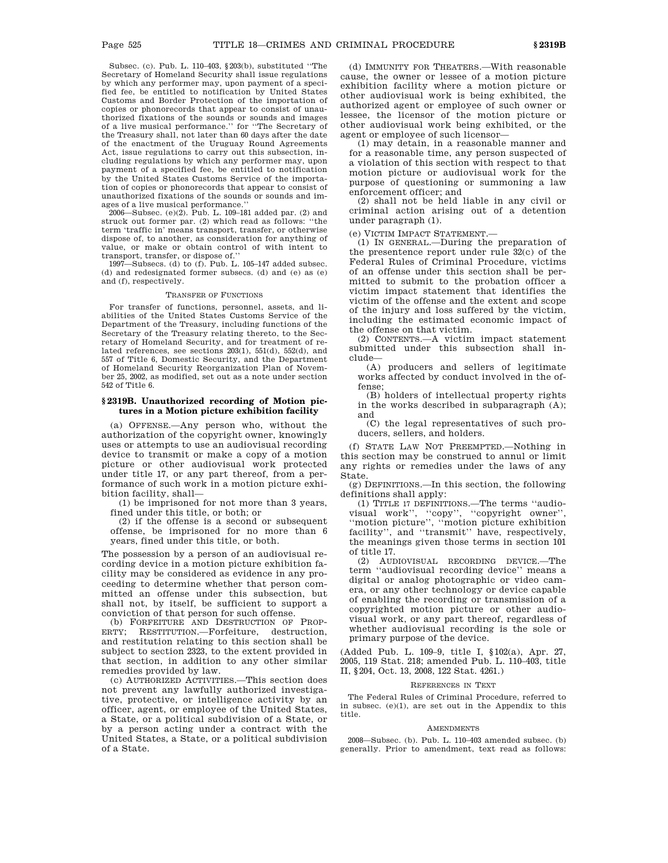Subsec. (c). Pub. L. 110–403, §203(b), substituted ''The Secretary of Homeland Security shall issue regulations by which any performer may, upon payment of a specified fee, be entitled to notification by United States Customs and Border Protection of the importation of copies or phonorecords that appear to consist of unauthorized fixations of the sounds or sounds and images of a live musical performance.'' for ''The Secretary of the Treasury shall, not later than 60 days after the date of the enactment of the Uruguay Round Agreements Act, issue regulations to carry out this subsection, including regulations by which any performer may, upon payment of a specified fee, be entitled to notification by the United States Customs Service of the importation of copies or phonorecords that appear to consist of unauthorized fixations of the sounds or sounds and im-

ages of a live musical performance.'' 2006—Subsec. (e)(2). Pub. L. 109–181 added par. (2) and struck out former par. (2) which read as follows: ''the term 'traffic in' means transport, transfer, or otherwise dispose of, to another, as consideration for anything of value, or make or obtain control of with intent to transport, transfer, or dispose of.''

1997—Subsecs. (d) to (f). Pub. L. 105–147 added subsec. (d) and redesignated former subsecs. (d) and (e) as (e) and (f), respectively.

#### TRANSFER OF FUNCTIONS

For transfer of functions, personnel, assets, and liabilities of the United States Customs Service of the Department of the Treasury, including functions of the Secretary of the Treasury relating thereto, to the Secretary of Homeland Security, and for treatment of related references, see sections 203(1), 551(d), 552(d), and 557 of Title 6, Domestic Security, and the Department of Homeland Security Reorganization Plan of November 25, 2002, as modified, set out as a note under section 542 of Title 6.

# **§ 2319B. Unauthorized recording of Motion pictures in a Motion picture exhibition facility**

(a) OFFENSE.—Any person who, without the authorization of the copyright owner, knowingly uses or attempts to use an audiovisual recording device to transmit or make a copy of a motion picture or other audiovisual work protected under title 17, or any part thereof, from a performance of such work in a motion picture exhibition facility, shall—

(1) be imprisoned for not more than 3 years, fined under this title, or both; or

(2) if the offense is a second or subsequent offense, be imprisoned for no more than 6 years, fined under this title, or both.

The possession by a person of an audiovisual recording device in a motion picture exhibition facility may be considered as evidence in any proceeding to determine whether that person committed an offense under this subsection, but shall not, by itself, be sufficient to support a conviction of that person for such offense.

(b) FORFEITURE AND DESTRUCTION OF PROP-ERTY; RESTITUTION.—Forfeiture, destruction, and restitution relating to this section shall be subject to section 2323, to the extent provided in that section, in addition to any other similar remedies provided by law.

(c) AUTHORIZED ACTIVITIES.—This section does not prevent any lawfully authorized investigative, protective, or intelligence activity by an officer, agent, or employee of the United States, a State, or a political subdivision of a State, or by a person acting under a contract with the United States, a State, or a political subdivision of a State.

(d) IMMUNITY FOR THEATERS.—With reasonable cause, the owner or lessee of a motion picture exhibition facility where a motion picture or other audiovisual work is being exhibited, the authorized agent or employee of such owner or lessee, the licensor of the motion picture or other audiovisual work being exhibited, or the agent or employee of such licensor—

(1) may detain, in a reasonable manner and for a reasonable time, any person suspected of a violation of this section with respect to that motion picture or audiovisual work for the purpose of questioning or summoning a law enforcement officer; and

(2) shall not be held liable in any civil or criminal action arising out of a detention under paragraph (1).

# (e) VICTIM IMPACT STATEMENT.—

(1) IN GENERAL.—During the preparation of the presentence report under rule 32(c) of the Federal Rules of Criminal Procedure, victims of an offense under this section shall be permitted to submit to the probation officer a victim impact statement that identifies the victim of the offense and the extent and scope of the injury and loss suffered by the victim, including the estimated economic impact of the offense on that victim.

(2) CONTENTS.—A victim impact statement submitted under this subsection shall include—

(A) producers and sellers of legitimate works affected by conduct involved in the offense;

(B) holders of intellectual property rights in the works described in subparagraph (A); and

(C) the legal representatives of such producers, sellers, and holders.

(f) STATE LAW NOT PREEMPTED.—Nothing in this section may be construed to annul or limit any rights or remedies under the laws of any State.

(g) DEFINITIONS.—In this section, the following definitions shall apply:

(1) TITLE 17 DEFINITIONS.—The terms ''audiovisual work'', ''copy'', ''copyright owner'', ''motion picture'', ''motion picture exhibition facility", and "transmit" have, respectively, the meanings given those terms in section 101 of title 17.

(2) AUDIOVISUAL RECORDING DEVICE.—The term ''audiovisual recording device'' means a digital or analog photographic or video camera, or any other technology or device capable of enabling the recording or transmission of a copyrighted motion picture or other audiovisual work, or any part thereof, regardless of whether audiovisual recording is the sole or primary purpose of the device.

(Added Pub. L. 109–9, title I, §102(a), Apr. 27, 2005, 119 Stat. 218; amended Pub. L. 110–403, title II, §204, Oct. 13, 2008, 122 Stat. 4261.)

### REFERENCES IN TEXT

The Federal Rules of Criminal Procedure, referred to in subsec.  $(e)(1)$ , are set out in the Appendix to this title.

### AMENDMENTS

2008—Subsec. (b). Pub. L. 110–403 amended subsec. (b) generally. Prior to amendment, text read as follows: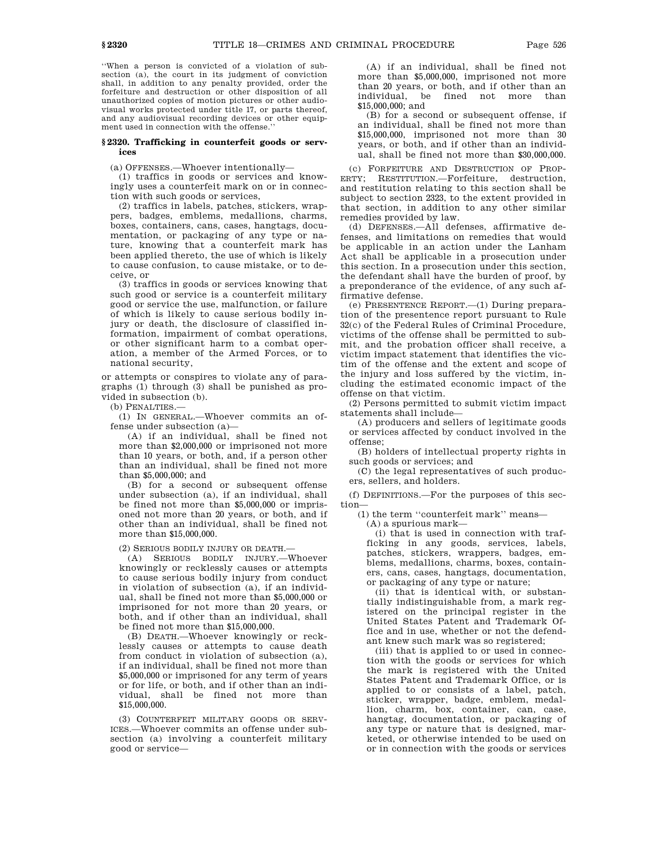''When a person is convicted of a violation of subsection (a), the court in its judgment of conviction shall, in addition to any penalty provided, order the forfeiture and destruction or other disposition of all unauthorized copies of motion pictures or other audiovisual works protected under title 17, or parts thereof, and any audiovisual recording devices or other equipment used in connection with the offense.''

# **§ 2320. Trafficking in counterfeit goods or services**

(a) OFFENSES.—Whoever intentionally—

(1) traffics in goods or services and knowingly uses a counterfeit mark on or in connection with such goods or services,

(2) traffics in labels, patches, stickers, wrappers, badges, emblems, medallions, charms, boxes, containers, cans, cases, hangtags, documentation, or packaging of any type or nature, knowing that a counterfeit mark has been applied thereto, the use of which is likely to cause confusion, to cause mistake, or to deceive, or

(3) traffics in goods or services knowing that such good or service is a counterfeit military good or service the use, malfunction, or failure of which is likely to cause serious bodily injury or death, the disclosure of classified information, impairment of combat operations, or other significant harm to a combat operation, a member of the Armed Forces, or to national security,

or attempts or conspires to violate any of paragraphs (1) through (3) shall be punished as provided in subsection (b).

(b) PENALTIES.—

(1) IN GENERAL.—Whoever commits an offense under subsection (a)—

(A) if an individual, shall be fined not more than \$2,000,000 or imprisoned not more than 10 years, or both, and, if a person other than an individual, shall be fined not more than \$5,000,000; and

(B) for a second or subsequent offense under subsection (a), if an individual, shall be fined not more than \$5,000,000 or imprisoned not more than 20 years, or both, and if other than an individual, shall be fined not more than \$15,000,000.

(2) SERIOUS BODILY INJURY OR DEATH.—

(A) SERIOUS BODILY INJURY.—Whoever knowingly or recklessly causes or attempts to cause serious bodily injury from conduct in violation of subsection (a), if an individual, shall be fined not more than \$5,000,000 or imprisoned for not more than 20 years, or both, and if other than an individual, shall be fined not more than \$15,000,000.

(B) DEATH.—Whoever knowingly or recklessly causes or attempts to cause death from conduct in violation of subsection (a), if an individual, shall be fined not more than \$5,000,000 or imprisoned for any term of years or for life, or both, and if other than an individual, shall be fined not more than \$15,000,000.

(3) COUNTERFEIT MILITARY GOODS OR SERV-ICES.—Whoever commits an offense under subsection (a) involving a counterfeit military good or service—

(A) if an individual, shall be fined not more than \$5,000,000, imprisoned not more than 20 years, or both, and if other than an individual, be fined not more than \$15,000,000; and

(B) for a second or subsequent offense, if an individual, shall be fined not more than \$15,000,000, imprisoned not more than 30 years, or both, and if other than an individual, shall be fined not more than \$30,000,000.

(c) FORFEITURE AND DESTRUCTION OF PROP-ERTY; RESTITUTION.—Forfeiture, destruction, and restitution relating to this section shall be subject to section 2323, to the extent provided in that section, in addition to any other similar remedies provided by law.

(d) DEFENSES.—All defenses, affirmative defenses, and limitations on remedies that would be applicable in an action under the Lanham Act shall be applicable in a prosecution under this section. In a prosecution under this section, the defendant shall have the burden of proof, by a preponderance of the evidence, of any such affirmative defense.

(e) PRESENTENCE REPORT.—(1) During preparation of the presentence report pursuant to Rule 32(c) of the Federal Rules of Criminal Procedure, victims of the offense shall be permitted to submit, and the probation officer shall receive, a victim impact statement that identifies the victim of the offense and the extent and scope of the injury and loss suffered by the victim, including the estimated economic impact of the offense on that victim.

(2) Persons permitted to submit victim impact statements shall include—

(A) producers and sellers of legitimate goods or services affected by conduct involved in the offense;

(B) holders of intellectual property rights in such goods or services; and

(C) the legal representatives of such producers, sellers, and holders.

(f) DEFINITIONS.—For the purposes of this section—

(1) the term ''counterfeit mark'' means—

(A) a spurious mark—

(i) that is used in connection with trafficking in any goods, services, labels, patches, stickers, wrappers, badges, emblems, medallions, charms, boxes, containers, cans, cases, hangtags, documentation, or packaging of any type or nature;

(ii) that is identical with, or substantially indistinguishable from, a mark registered on the principal register in the United States Patent and Trademark Office and in use, whether or not the defendant knew such mark was so registered;

(iii) that is applied to or used in connection with the goods or services for which the mark is registered with the United States Patent and Trademark Office, or is applied to or consists of a label, patch, sticker, wrapper, badge, emblem, medallion, charm, box, container, can, case, hangtag, documentation, or packaging of any type or nature that is designed, marketed, or otherwise intended to be used on or in connection with the goods or services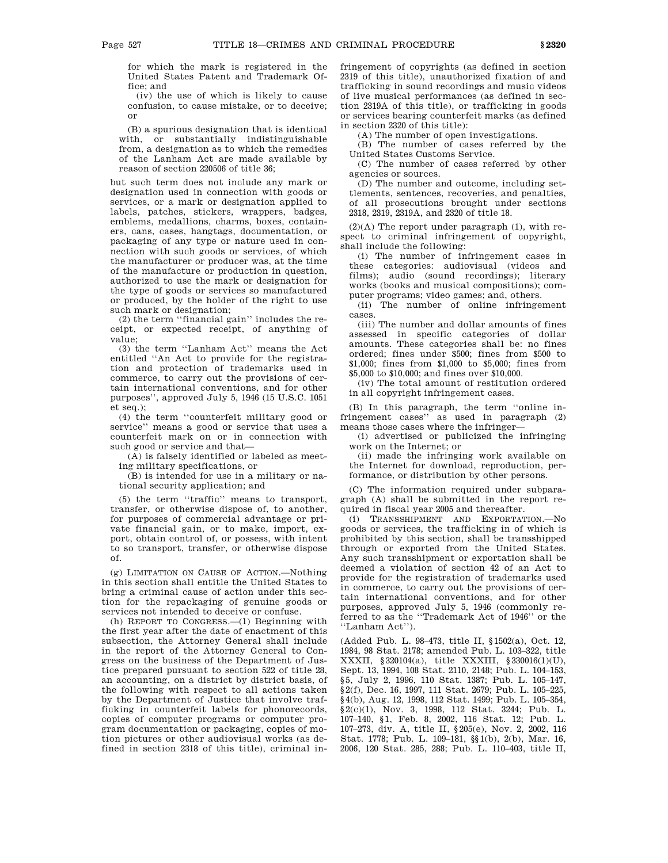for which the mark is registered in the United States Patent and Trademark Office; and

(iv) the use of which is likely to cause confusion, to cause mistake, or to deceive; or

(B) a spurious designation that is identical with, or substantially indistinguishable from, a designation as to which the remedies of the Lanham Act are made available by reason of section 220506 of title 36;

but such term does not include any mark or designation used in connection with goods or services, or a mark or designation applied to labels, patches, stickers, wrappers, badges, emblems, medallions, charms, boxes, containers, cans, cases, hangtags, documentation, or packaging of any type or nature used in connection with such goods or services, of which the manufacturer or producer was, at the time of the manufacture or production in question, authorized to use the mark or designation for the type of goods or services so manufactured or produced, by the holder of the right to use such mark or designation;

(2) the term ''financial gain'' includes the receipt, or expected receipt, of anything of value;

(3) the term ''Lanham Act'' means the Act entitled ''An Act to provide for the registration and protection of trademarks used in commerce, to carry out the provisions of certain international conventions, and for other purposes'', approved July 5, 1946 (15 U.S.C. 1051 et seq.);

(4) the term ''counterfeit military good or service'' means a good or service that uses a counterfeit mark on or in connection with such good or service and that—

(A) is falsely identified or labeled as meeting military specifications, or

(B) is intended for use in a military or national security application; and

(5) the term ''traffic'' means to transport, transfer, or otherwise dispose of, to another, for purposes of commercial advantage or private financial gain, or to make, import, export, obtain control of, or possess, with intent to so transport, transfer, or otherwise dispose of.

(g) LIMITATION ON CAUSE OF ACTION.—Nothing in this section shall entitle the United States to bring a criminal cause of action under this section for the repackaging of genuine goods or services not intended to deceive or confuse.

(h) REPORT TO CONGRESS.—(1) Beginning with the first year after the date of enactment of this subsection, the Attorney General shall include in the report of the Attorney General to Congress on the business of the Department of Justice prepared pursuant to section 522 of title 28, an accounting, on a district by district basis, of the following with respect to all actions taken by the Department of Justice that involve trafficking in counterfeit labels for phonorecords, copies of computer programs or computer program documentation or packaging, copies of motion pictures or other audiovisual works (as defined in section 2318 of this title), criminal infringement of copyrights (as defined in section 2319 of this title), unauthorized fixation of and trafficking in sound recordings and music videos of live musical performances (as defined in section 2319A of this title), or trafficking in goods or services bearing counterfeit marks (as defined in section 2320 of this title):

(A) The number of open investigations.

(B) The number of cases referred by the United States Customs Service.

(C) The number of cases referred by other agencies or sources.

(D) The number and outcome, including settlements, sentences, recoveries, and penalties, of all prosecutions brought under sections 2318, 2319, 2319A, and 2320 of title 18.

 $(2)(A)$  The report under paragraph  $(1)$ , with respect to criminal infringement of copyright, shall include the following:

(i) The number of infringement cases in these categories: audiovisual (videos and films); audio (sound recordings); literary works (books and musical compositions); computer programs; video games; and, others.

(ii) The number of online infringement cases.

(iii) The number and dollar amounts of fines assessed in specific categories of dollar amounts. These categories shall be: no fines ordered; fines under \$500; fines from \$500 to \$1,000; fines from \$1,000 to \$5,000; fines from \$5,000 to \$10,000; and fines over \$10,000.

(iv) The total amount of restitution ordered in all copyright infringement cases.

(B) In this paragraph, the term ''online infringement cases'' as used in paragraph (2) means those cases where the infringer—

(i) advertised or publicized the infringing work on the Internet; or

(ii) made the infringing work available on the Internet for download, reproduction, performance, or distribution by other persons.

(C) The information required under subparagraph (A) shall be submitted in the report required in fiscal year 2005 and thereafter.

(i) TRANSSHIPMENT AND EXPORTATION.—No goods or services, the trafficking in of which is prohibited by this section, shall be transshipped through or exported from the United States. Any such transshipment or exportation shall be deemed a violation of section 42 of an Act to provide for the registration of trademarks used in commerce, to carry out the provisions of certain international conventions, and for other purposes, approved July 5, 1946 (commonly referred to as the ''Trademark Act of 1946'' or the ''Lanham Act'').

(Added Pub. L. 98–473, title II, §1502(a), Oct. 12, 1984, 98 Stat. 2178; amended Pub. L. 103–322, title XXXII, §320104(a), title XXXIII, §330016(1)(U), Sept. 13, 1994, 108 Stat. 2110, 2148; Pub. L. 104–153, §5, July 2, 1996, 110 Stat. 1387; Pub. L. 105–147, §2(f), Dec. 16, 1997, 111 Stat. 2679; Pub. L. 105–225, §4(b), Aug. 12, 1998, 112 Stat. 1499; Pub. L. 105–354, §2(c)(1), Nov. 3, 1998, 112 Stat. 3244; Pub. L. 107–140, §1, Feb. 8, 2002, 116 Stat. 12; Pub. L. 107–273, div. A, title II, §205(e), Nov. 2, 2002, 116 Stat. 1778; Pub. L. 109–181, §§1(b), 2(b), Mar. 16, 2006, 120 Stat. 285, 288; Pub. L. 110–403, title II,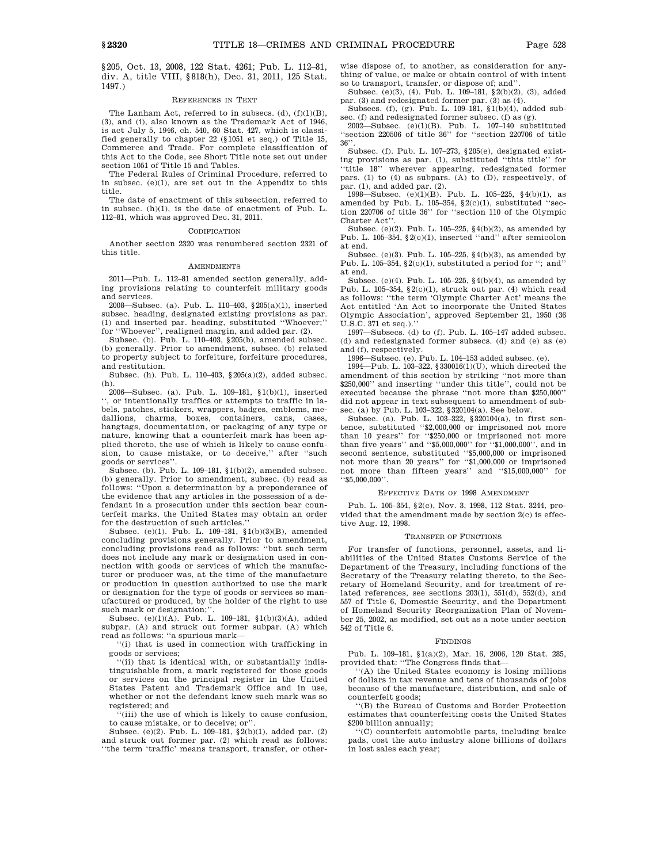§205, Oct. 13, 2008, 122 Stat. 4261; Pub. L. 112–81, div. A, title VIII, §818(h), Dec. 31, 2011, 125 Stat. 1497.)

# REFERENCES IN TEXT

The Lanham Act, referred to in subsecs.  $(d)$ ,  $(f)(1)(B)$ , (3), and (i), also known as the Trademark Act of 1946, is act July 5, 1946, ch. 540, 60 Stat. 427, which is classified generally to chapter 22 (§1051 et seq.) of Title 15, Commerce and Trade. For complete classification of this Act to the Code, see Short Title note set out under section 1051 of Title 15 and Tables.

The Federal Rules of Criminal Procedure, referred to in subsec. (e)(1), are set out in the Appendix to this title.

The date of enactment of this subsection, referred to in subsec. (h)(1), is the date of enactment of Pub. L. 112–81, which was approved Dec. 31, 2011.

#### **CODIFICATION**

Another section 2320 was renumbered section 2321 of this title.

#### AMENDMENTS

2011—Pub. L. 112–81 amended section generally, adding provisions relating to counterfeit military goods and services.

2008—Subsec. (a). Pub. L. 110–403, §205(a)(1), inserted subsec. heading, designated existing provisions as par. (1) and inserted par. heading, substituted ''Whoever;'' for ''Whoever'', realigned margin, and added par. (2).

Subsec. (b). Pub. L. 110–403, §205(b), amended subsec. (b) generally. Prior to amendment, subsec. (b) related to property subject to forfeiture, forfeiture procedures, and restitution.

Subsec. (h). Pub. L. 110–403, §205(a)(2), added subsec. (h).

2006—Subsec. (a). Pub. L. 109–181, §1(b)(1), inserted '', or intentionally traffics or attempts to traffic in labels, patches, stickers, wrappers, badges, emblems, medallions, charms, boxes, containers, cans, cases, hangtags, documentation, or packaging of any type or nature, knowing that a counterfeit mark has been applied thereto, the use of which is likely to cause confusion, to cause mistake, or to deceive,'' after ''such goods or services''.

Subsec. (b). Pub. L. 109–181, §1(b)(2), amended subsec. (b) generally. Prior to amendment, subsec. (b) read as follows: ''Upon a determination by a preponderance of the evidence that any articles in the possession of a defendant in a prosecution under this section bear counterfeit marks, the United States may obtain an order for the destruction of such articles.''

Subsec. (e)(1). Pub. L. 109–181, §1(b)(3)(B), amended concluding provisions generally. Prior to amendment, concluding provisions read as follows: ''but such term does not include any mark or designation used in connection with goods or services of which the manufacturer or producer was, at the time of the manufacture or production in question authorized to use the mark or designation for the type of goods or services so manufactured or produced, by the holder of the right to use such mark or designation;"

Subsec. (e)(1)(A). Pub. L. 109–181, §1(b)(3)(A), added subpar. (A) and struck out former subpar. (A) which read as follows: ''a spurious mark—

''(i) that is used in connection with trafficking in goods or services;

''(ii) that is identical with, or substantially indistinguishable from, a mark registered for those goods or services on the principal register in the United States Patent and Trademark Office and in use, whether or not the defendant knew such mark was so registered; and

 $\tilde{f}$ <sup>(iii)</sup> the use of which is likely to cause confusion, to cause mistake, or to deceive; or''.

Subsec. (e)(2). Pub. L. 109–181, §2(b)(1), added par. (2) and struck out former par. (2) which read as follows: ''the term 'traffic' means transport, transfer, or otherwise dispose of, to another, as consideration for anything of value, or make or obtain control of with intent so to transport, transfer, or dispose of; and'

Subsec. (e)(3), (4). Pub. L. 109-181, §2(b)(2), (3), added par. (3) and redesignated former par. (3) as (4).

Subsecs. (f), (g). Pub. L. 109–181, §1(b)(4), added subsec. (f) and redesignated former subsec. (f) as (g).

2002—Subsec. (e)(1)(B). Pub. L. 107–140 substituted ''section 220506 of title 36'' for ''section 220706 of title  $36'$ 

Subsec. (f). Pub. L. 107–273, §205(e), designated existing provisions as par. (1), substituted ''this title'' for ''title 18'' wherever appearing, redesignated former pars. (1) to (4) as subpars. (A) to (D), respectively, of par. (1), and added par. (2).

1998—Subsec. (e)(1)(B). Pub. L. 105–225, §4(b)(1), as amended by Pub. L. 105–354, §2(c)(1), substituted ''section 220706 of title 36'' for ''section 110 of the Olympic Charter Act''.

Subsec. (e)(2). Pub. L. 105–225, §4(b)(2), as amended by Pub. L. 105–354, §2(c)(1), inserted ''and'' after semicolon at end.

Subsec. (e)(3). Pub. L. 105–225, §4(b)(3), as amended by Pub. L. 105–354, §2(c)(1), substituted a period for ''; and'' at end.

Subsec. (e)(4). Pub. L. 105–225,  $\S(4(b)(4))$ , as amended by Pub. L. 105–354, §2(c)(1), struck out par. (4) which read as follows: ''the term 'Olympic Charter Act' means the Act entitled 'An Act to incorporate the United States Olympic Association', approved September 21, 1950 (36 U.S.C. 371 et seq.).''

1997—Subsecs. (d) to (f). Pub. L. 105–147 added subsec. (d) and redesignated former subsecs. (d) and (e) as (e) and (f), respectively.

1996—Subsec. (e). Pub. L. 104–153 added subsec. (e).

1994—Pub. L. 103–322, §330016(1)(U), which directed the amendment of this section by striking ''not more than \$250,000'' and inserting ''under this title'', could not be executed because the phrase ''not more than \$250,000'' did not appear in text subsequent to amendment of subsec. (a) by Pub. L. 103–322, §320104(a). See below.

Subsec. (a). Pub. L. 103–322, §320104(a), in first sentence, substituted ''\$2,000,000 or imprisoned not more than 10 years'' for ''\$250,000 or imprisoned not more than five years'' and ''\$5,000,000'' for ''\$1,000,000'', and in second sentence, substituted ''\$5,000,000 or imprisoned not more than 20 years'' for ''\$1,000,000 or imprisoned not more than fifteen years'' and ''\$15,000,000'' for ''\$5,000,000''.

#### EFFECTIVE DATE OF 1998 AMENDMENT

Pub. L. 105–354, §2(c), Nov. 3, 1998, 112 Stat. 3244, provided that the amendment made by section 2(c) is effective Aug. 12, 1998.

#### TRANSFER OF FUNCTIONS

For transfer of functions, personnel, assets, and liabilities of the United States Customs Service of the Department of the Treasury, including functions of the Secretary of the Treasury relating thereto, to the Secretary of Homeland Security, and for treatment of related references, see sections 203(1), 551(d), 552(d), and 557 of Title 6, Domestic Security, and the Department of Homeland Security Reorganization Plan of November 25, 2002, as modified, set out as a note under section 542 of Title 6.

#### FINDINGS

Pub. L. 109–181, §1(a)(2), Mar. 16, 2006, 120 Stat. 285, provided that: ''The Congress finds that—

''(A) the United States economy is losing millions of dollars in tax revenue and tens of thousands of jobs because of the manufacture, distribution, and sale of counterfeit goods;

''(B) the Bureau of Customs and Border Protection estimates that counterfeiting costs the United States \$200 billion annually;

''(C) counterfeit automobile parts, including brake pads, cost the auto industry alone billions of dollars in lost sales each year;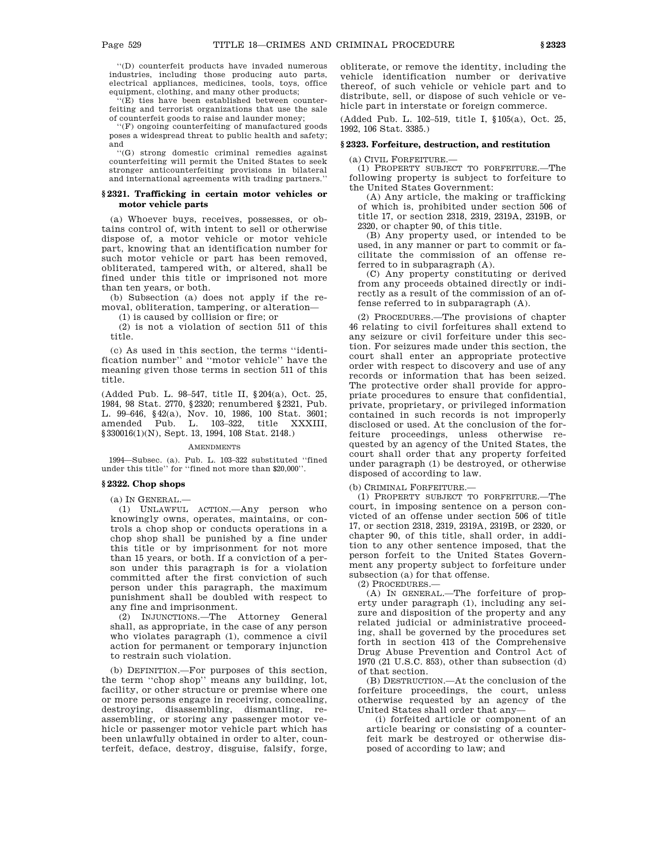''(D) counterfeit products have invaded numerous industries, including those producing auto parts, electrical appliances, medicines, tools, toys, office equipment, clothing, and many other products;

''(E) ties have been established between counterfeiting and terrorist organizations that use the sale of counterfeit goods to raise and launder money;

'(F) ongoing counterfeiting of manufactured goods poses a widespread threat to public health and safety; and

''(G) strong domestic criminal remedies against counterfeiting will permit the United States to seek stronger anticounterfeiting provisions in bilateral and international agreements with trading partners.''

# **§ 2321. Trafficking in certain motor vehicles or motor vehicle parts**

(a) Whoever buys, receives, possesses, or obtains control of, with intent to sell or otherwise dispose of, a motor vehicle or motor vehicle part, knowing that an identification number for such motor vehicle or part has been removed, obliterated, tampered with, or altered, shall be fined under this title or imprisoned not more than ten years, or both.

(b) Subsection (a) does not apply if the removal, obliteration, tampering, or alteration—

(1) is caused by collision or fire; or

(2) is not a violation of section 511 of this title.

(c) As used in this section, the terms ''identification number'' and ''motor vehicle'' have the meaning given those terms in section 511 of this title.

(Added Pub. L. 98–547, title II, §204(a), Oct. 25, 1984, 98 Stat. 2770, §2320; renumbered §2321, Pub. L. 99–646, §42(a), Nov. 10, 1986, 100 Stat. 3601; amended Pub. L. 103–322, title XXXIII, §330016(1)(N), Sept. 13, 1994, 108 Stat. 2148.)

### **AMENDMENTS**

1994—Subsec. (a). Pub. L. 103–322 substituted ''fined under this title'' for ''fined not more than \$20,000''.

# **§ 2322. Chop shops**

(a) IN GENERAL.—

(1) UNLAWFUL ACTION.—Any person who knowingly owns, operates, maintains, or controls a chop shop or conducts operations in a chop shop shall be punished by a fine under this title or by imprisonment for not more than 15 years, or both. If a conviction of a person under this paragraph is for a violation committed after the first conviction of such person under this paragraph, the maximum punishment shall be doubled with respect to any fine and imprisonment.

(2) INJUNCTIONS.—The Attorney General shall, as appropriate, in the case of any person who violates paragraph (1), commence a civil action for permanent or temporary injunction to restrain such violation.

(b) DEFINITION.—For purposes of this section, the term ''chop shop'' means any building, lot, facility, or other structure or premise where one or more persons engage in receiving, concealing, destroying, disassembling, dismantling, reassembling, or storing any passenger motor vehicle or passenger motor vehicle part which has been unlawfully obtained in order to alter, counterfeit, deface, destroy, disguise, falsify, forge, obliterate, or remove the identity, including the vehicle identification number or derivative thereof, of such vehicle or vehicle part and to distribute, sell, or dispose of such vehicle or vehicle part in interstate or foreign commerce.

(Added Pub. L. 102–519, title I, §105(a), Oct. 25, 1992, 106 Stat. 3385.)

# **§ 2323. Forfeiture, destruction, and restitution**

(a) CIVIL FORFEITURE.—

(1) PROPERTY SUBJECT TO FORFEITURE.—The following property is subject to forfeiture to the United States Government:

(A) Any article, the making or trafficking of which is, prohibited under section 506 of title 17, or section 2318, 2319, 2319A, 2319B, or 2320, or chapter 90, of this title.

(B) Any property used, or intended to be used, in any manner or part to commit or facilitate the commission of an offense referred to in subparagraph (A).

(C) Any property constituting or derived from any proceeds obtained directly or indirectly as a result of the commission of an offense referred to in subparagraph (A).

(2) PROCEDURES.—The provisions of chapter 46 relating to civil forfeitures shall extend to any seizure or civil forfeiture under this section. For seizures made under this section, the court shall enter an appropriate protective order with respect to discovery and use of any records or information that has been seized. The protective order shall provide for appropriate procedures to ensure that confidential, private, proprietary, or privileged information contained in such records is not improperly disclosed or used. At the conclusion of the forfeiture proceedings, unless otherwise requested by an agency of the United States, the court shall order that any property forfeited under paragraph (1) be destroyed, or otherwise disposed of according to law.

(b) CRIMINAL FORFEITURE.—

(1) PROPERTY SUBJECT TO FORFEITURE.—The court, in imposing sentence on a person convicted of an offense under section 506 of title 17, or section 2318, 2319, 2319A, 2319B, or 2320, or chapter 90, of this title, shall order, in addition to any other sentence imposed, that the person forfeit to the United States Government any property subject to forfeiture under subsection (a) for that offense.

(2) PROCEDURES.—

(A) IN GENERAL.—The forfeiture of property under paragraph (1), including any seizure and disposition of the property and any related judicial or administrative proceeding, shall be governed by the procedures set forth in section 413 of the Comprehensive Drug Abuse Prevention and Control Act of 1970 (21 U.S.C. 853), other than subsection (d) of that section.

(B) DESTRUCTION.—At the conclusion of the forfeiture proceedings, the court, unless otherwise requested by an agency of the United States shall order that any—

(i) forfeited article or component of an article bearing or consisting of a counterfeit mark be destroyed or otherwise disposed of according to law; and